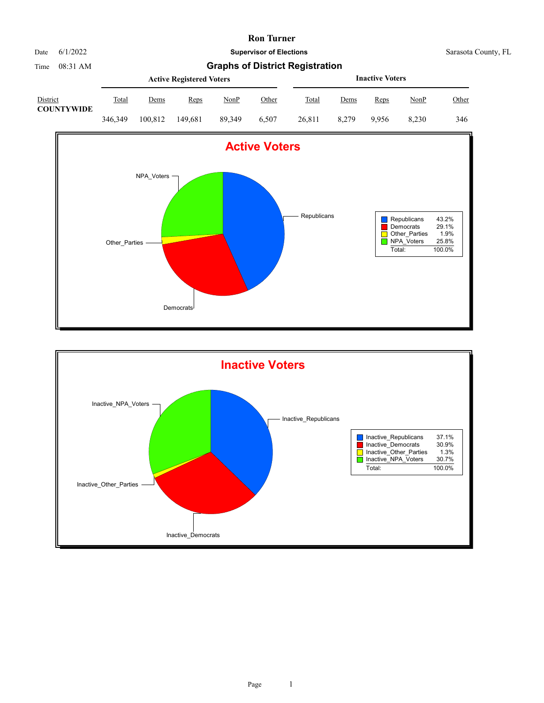

Time 08:31 AM **Graphs of District Registration**

|                               |         |         | <b>Active Registered Voters</b> |             | <b>Inactive Voters</b> |              |             |       |       |              |
|-------------------------------|---------|---------|---------------------------------|-------------|------------------------|--------------|-------------|-------|-------|--------------|
| District<br><b>COUNTYWIDE</b> | Total   | Dems    | <b>Reps</b>                     | <u>NonP</u> | Other                  | <b>Total</b> | <u>Dems</u> | Reps  | NonP  | <u>Other</u> |
|                               | 346,349 | 100.812 | 149.681                         | 89.349      | 6.507                  | 26,811       | 8.279       | 9.956 | 8.230 | 346          |



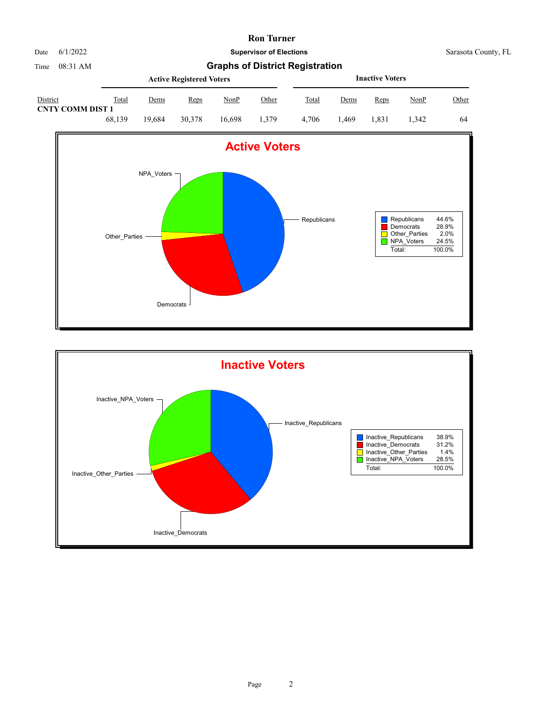

|                                     |        |             | <b>Active Registered Voters</b> |             | <b>Inactive Voters</b> |       |             |       |             |       |
|-------------------------------------|--------|-------------|---------------------------------|-------------|------------------------|-------|-------------|-------|-------------|-------|
| District<br><b>CNTY COMM DIST 1</b> | Total  | <u>Dems</u> | <u>Reps</u>                     | <u>NonP</u> | Other                  | Total | <u>Dems</u> | Reps  | <u>NonP</u> | Other |
|                                     | 68.139 | 19.684      | 30,378                          | 16.698      | 1.379                  | 4.706 | .469        | l.831 | 1.342       | 64    |



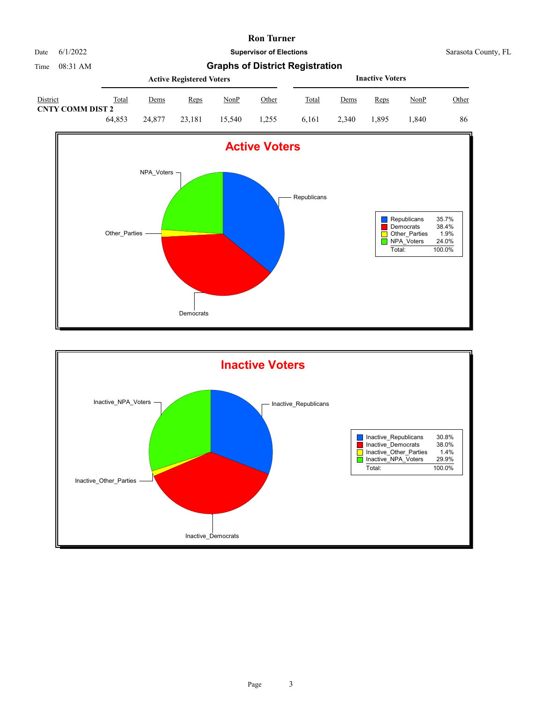

|                                     |        |        | <b>Active Registered Voters</b> |        |       | <b>Inactive Voters</b> |       |       |       |       |
|-------------------------------------|--------|--------|---------------------------------|--------|-------|------------------------|-------|-------|-------|-------|
| District<br><b>CNTY COMM DIST 2</b> | Total  | Dems   | Reps                            | NonP   | Other | Total                  | Dems  | Reps  | NonP  | Other |
|                                     | 64.853 | 24,877 | 23.181                          | 15.540 | 1.255 | 6.161                  | 2.340 | 1.895 | 1.840 | 86    |



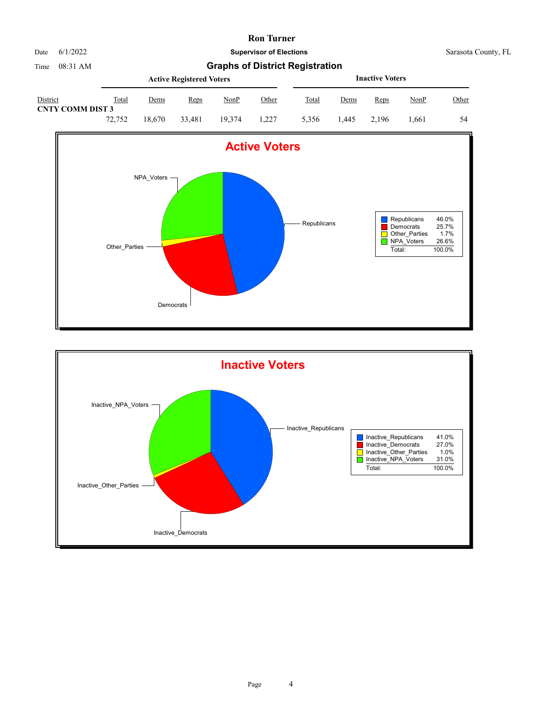

|                                     |        |        | <b>Active Registered Voters</b> |        | <b>Inactive Voters</b> |       |      |       |             |       |
|-------------------------------------|--------|--------|---------------------------------|--------|------------------------|-------|------|-------|-------------|-------|
| District<br><b>CNTY COMM DIST 3</b> | Total  | Dems   | Reps                            | NonP   | Other                  | Total | Dems | Reps  | <u>NonP</u> | Other |
|                                     | 72,752 | 18.670 | 33,481                          | 19.374 | 1.227                  | 5.356 | .445 | 2.196 | .661        | 54    |



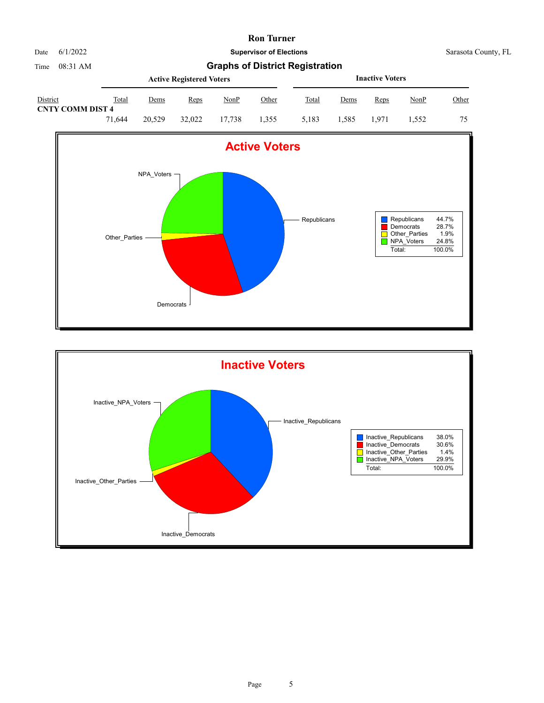

|                                     |        |             | <b>Active Registered Voters</b> |             | <b>Inactive Voters</b> |       |         |       |             |       |
|-------------------------------------|--------|-------------|---------------------------------|-------------|------------------------|-------|---------|-------|-------------|-------|
| District<br><b>CNTY COMM DIST 4</b> | Total  | <u>Dems</u> | <u>Reps</u>                     | <u>NonP</u> | Other                  | Total | Dems    | Reps  | <u>NonP</u> | Other |
|                                     | 71.644 | 20,529      | 32,022                          | 17.738      | 1.355                  | 5.183 | . . 585 | 1.971 | 1.552       | 75    |



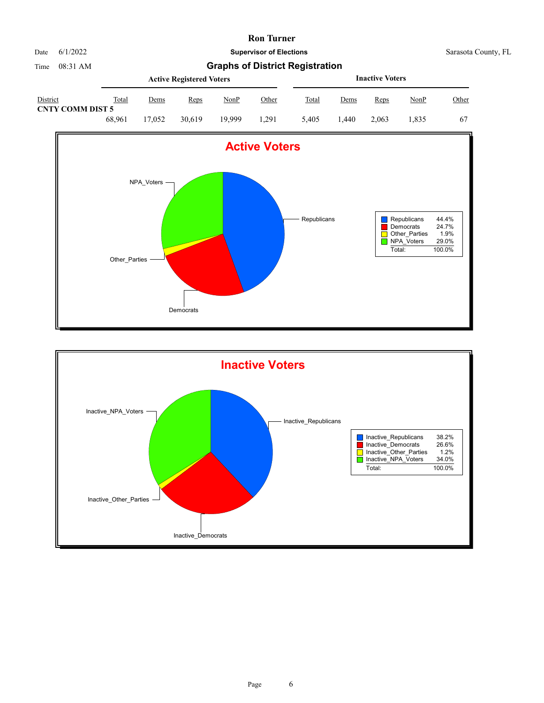

|                                     |        |        | <b>Active Registered Voters</b> |             | <b>Inactive Voters</b> |       |      |       |      |       |
|-------------------------------------|--------|--------|---------------------------------|-------------|------------------------|-------|------|-------|------|-------|
| District<br><b>CNTY COMM DIST 5</b> | Total  | Dems   | Reps                            | <u>NonP</u> | Other                  | Total | Dems | Reps  | NonP | Other |
|                                     | 68.961 | 17.052 | 30.619                          | 19.999      | 1.291                  | 5.405 | .440 | 2.063 | .835 | 67    |



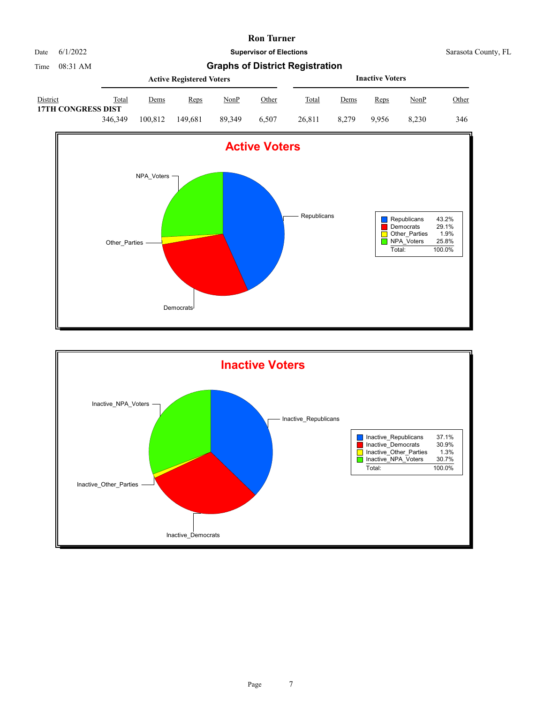

|                                       |         |         | <b>Active Registered Voters</b> |        | <b>Inactive Voters</b> |        |             |       |       |       |
|---------------------------------------|---------|---------|---------------------------------|--------|------------------------|--------|-------------|-------|-------|-------|
| District<br><b>17TH CONGRESS DIST</b> | Total   | Dems    | Reps                            | NonP   | <u>Other</u>           | Total  | <u>Dems</u> | Reps  | NonP  | Other |
|                                       | 346,349 | 100.812 | 149.681                         | 89.349 | 6.507                  | 26.811 | 8.279       | 9.956 | 8.230 | 346   |



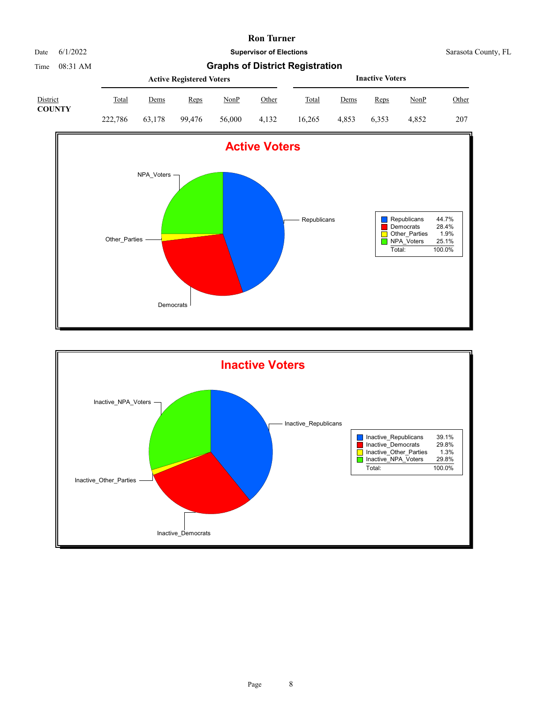| Date | 6/1/2022 |
|------|----------|
|      |          |

**Supervisor of Elections** Sarasota County, FL

Time 08:31 AM **Graphs of District Registration**

| District      |         |        | <b>Active Registered Voters</b> |             | <b>Inactive Voters</b> |        |       |       |       |       |
|---------------|---------|--------|---------------------------------|-------------|------------------------|--------|-------|-------|-------|-------|
|               | Total   | Dems   | Reps                            | <b>NonP</b> | Other                  | Total  | Dems  | Reps  | NonP  | Other |
| <b>COUNTY</b> | 222,786 | 63.178 | 99.476                          | 56,000      | 4.132                  | 16.265 | 4.853 | 6.353 | 4.852 | 207   |



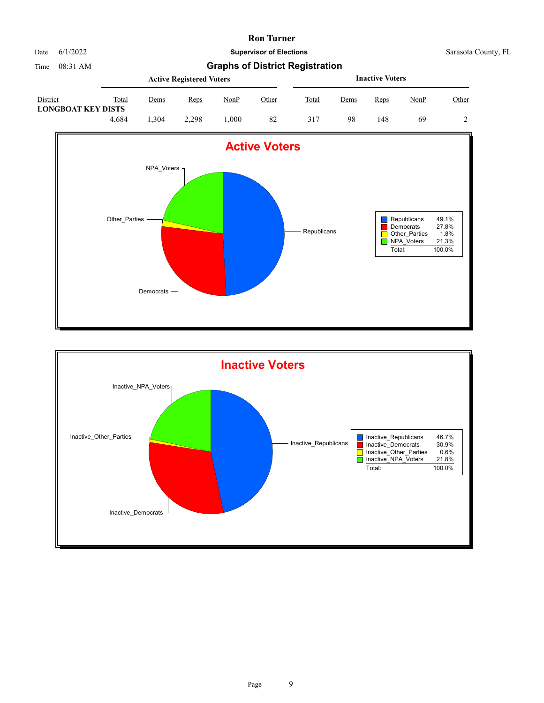

Date 6/1/2022 **Supervisor of Elections** Supervisor **Supervisor of Elections** Sarasota County, FL

|                                       |       |      | <b>Active Registered Voters</b> |      | <b>Inactive Voters</b> |       |             |      |             |       |
|---------------------------------------|-------|------|---------------------------------|------|------------------------|-------|-------------|------|-------------|-------|
| District<br><b>LONGBOAT KEY DISTS</b> | Total | Dems | Reps                            | NonP | <u>Other</u>           | Total | <u>Dems</u> | Reps | <u>NonP</u> | Other |
|                                       | 4.684 | .304 | 2.298                           | .000 | 82                     | 317   | 98          | 148  | 69          |       |



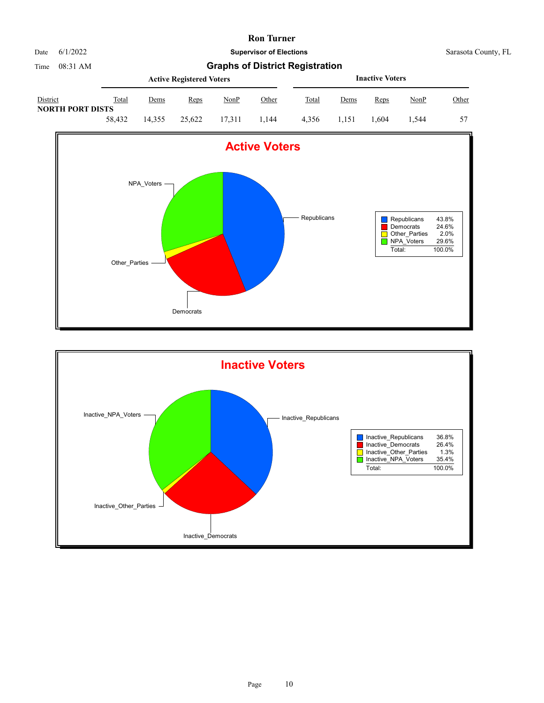

Date 6/1/2022 **Supervisor of Elections** Sarasota County, FL

Time 08:31 AM **Graphs of District Registration Active Registered Voters** District Total Dems Reps NonP Other **Inactive Voters** Total Dems Reps NonP Other **NORTH PORT DISTS**



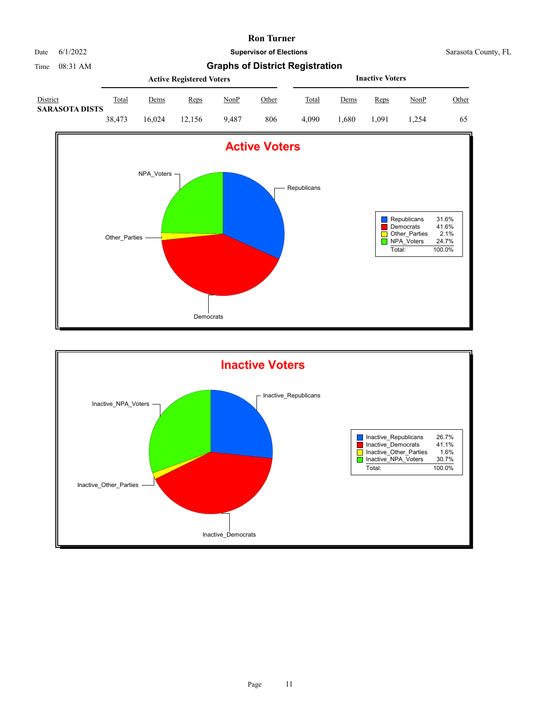

|                                   |        |             | <b>Active Registered Voters</b> |       | <b>Inactive Voters</b> |       |             |      |             |       |
|-----------------------------------|--------|-------------|---------------------------------|-------|------------------------|-------|-------------|------|-------------|-------|
| District<br><b>SARASOTA DISTS</b> | Total  | <u>Dems</u> | Reps                            | NonP  | Other                  | Total | <u>Dems</u> | Reps | <u>NonP</u> | Other |
|                                   | 38.473 | 16.024      | 12.156                          | 9.487 | 806                    | 4.090 | .680        | .091 | .254        | 65    |



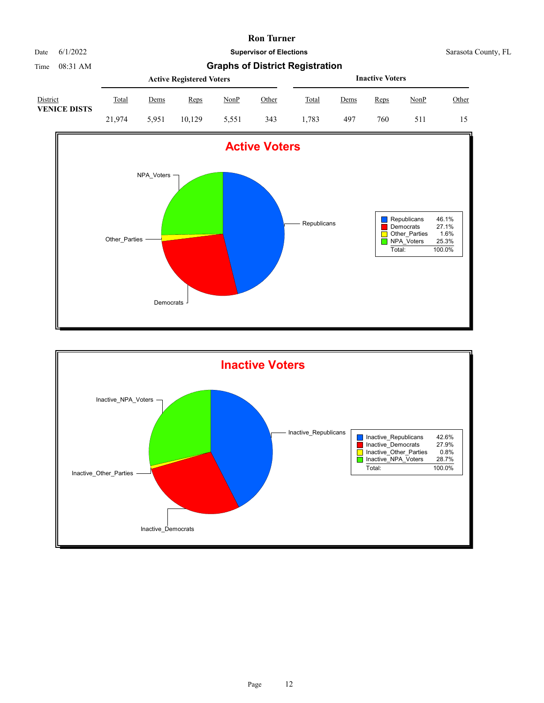

Time 08:31 AM **Graphs of District Registration**

|                                 |        |             | <b>Active Registered Voters</b> |       | <b>Inactive Voters</b> |              |      |      |      |              |
|---------------------------------|--------|-------------|---------------------------------|-------|------------------------|--------------|------|------|------|--------------|
| District<br><b>VENICE DISTS</b> | Total  | <u>Dems</u> | Reps                            | NonP  | Other                  | <b>Total</b> | Dems | Reps | NonP | <u>Other</u> |
|                                 | 21.974 | 5.951       | 10.129                          | 5.551 | 343                    | .783         | 497  | 760  | 511  | 15           |



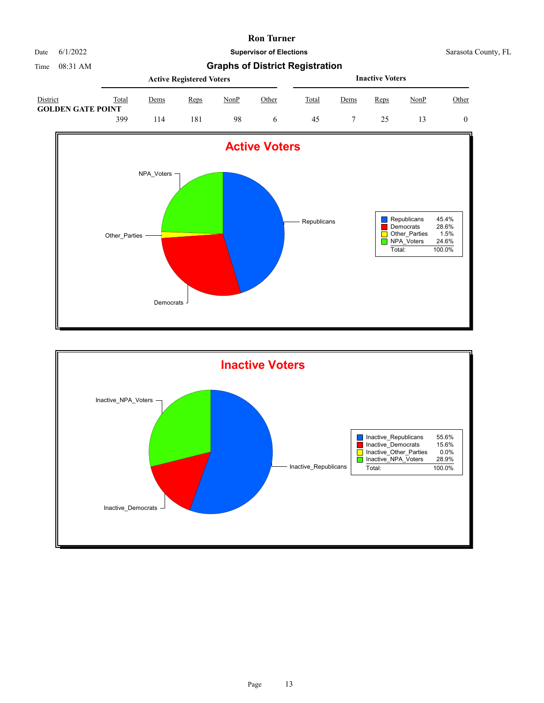

Date 6/1/2022 **Supervisor of Elections** Supervisor **Supervisor of Elections** Sarasota County, FL

|                                             | <b>Active Registered Voters</b> |      |      |      |       |              |      | <b>Inactive Voters</b> |      |       |
|---------------------------------------------|---------------------------------|------|------|------|-------|--------------|------|------------------------|------|-------|
| <b>District</b><br><b>GOLDEN GATE POINT</b> | Total                           | Dems | Reps | NonP | Other | <b>Total</b> | Dems | <u>Reps</u>            | NonP | Other |
|                                             | 399                             | 14   | l 81 | 98   |       | 45           |      |                        |      |       |



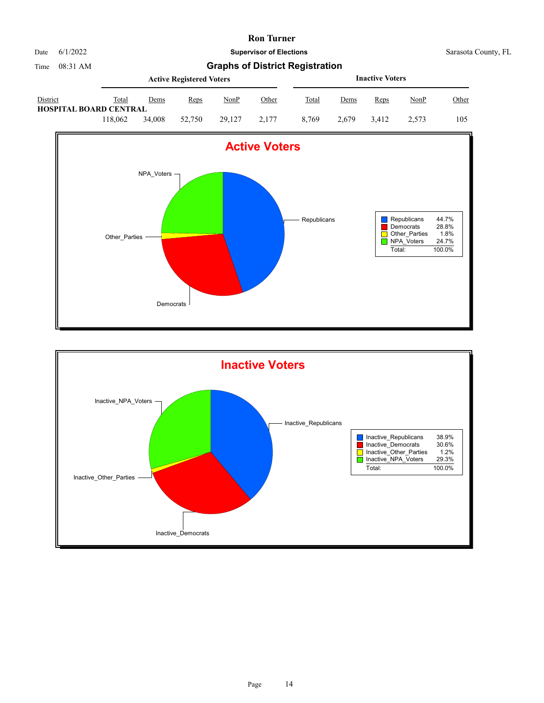



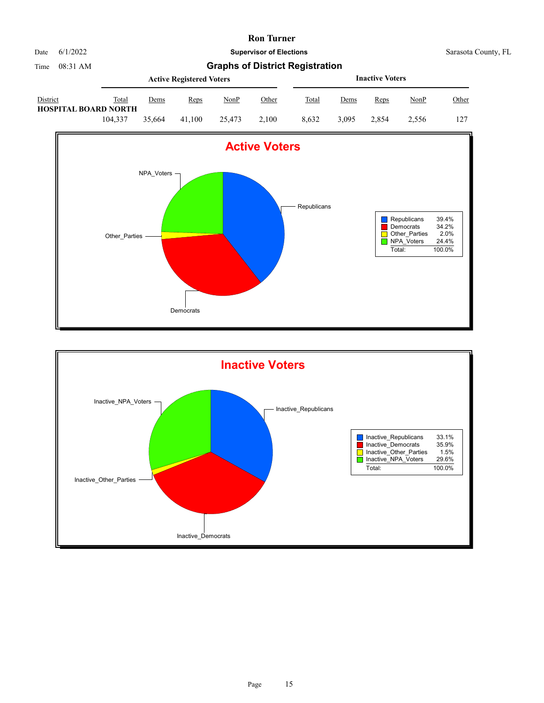

|                                         |         |        | <b>Active Registered Voters</b> |        |       | <b>Inactive Voters</b> |             |       |       |              |  |
|-----------------------------------------|---------|--------|---------------------------------|--------|-------|------------------------|-------------|-------|-------|--------------|--|
| District<br><b>HOSPITAL BOARD NORTH</b> | Total   | Dems   | Reps                            | NonP   | Other | <b>Total</b>           | <u>Dems</u> | Reps  | NonP  | <u>Other</u> |  |
|                                         | 104.337 | 35.664 | 41.100                          | 25,473 | 2.100 | 8.632                  | 3.095       | 2.854 | 2.556 | 127          |  |



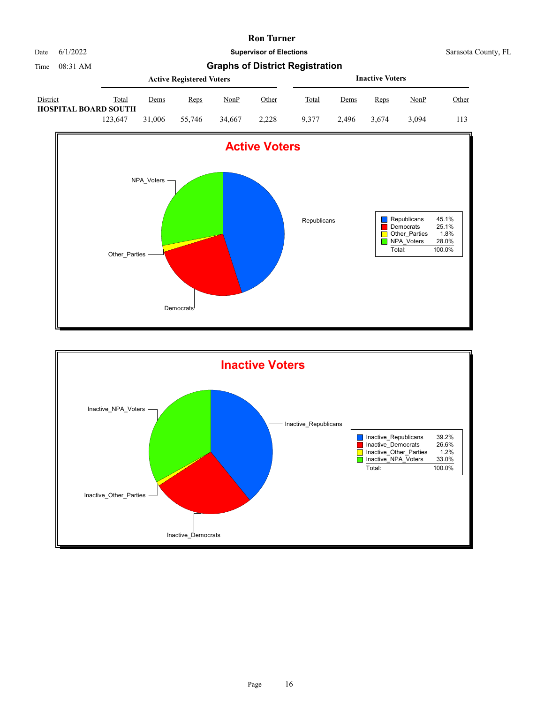

|                                                |         |        | <b>Active Registered Voters</b> |        |              | <b>Inactive Voters</b> |       |       |             |       |  |
|------------------------------------------------|---------|--------|---------------------------------|--------|--------------|------------------------|-------|-------|-------------|-------|--|
| <b>District</b><br><b>HOSPITAL BOARD SOUTH</b> | Total   | Dems   | Reps                            | NonP   | <u>Other</u> | Total                  | Dems  | Reps  | <u>NonP</u> | Other |  |
|                                                | 123,647 | 31,006 | 55,746                          | 34,667 | 2.228        | 9.377                  | 2.496 | 3.674 | 3.094       | 113   |  |



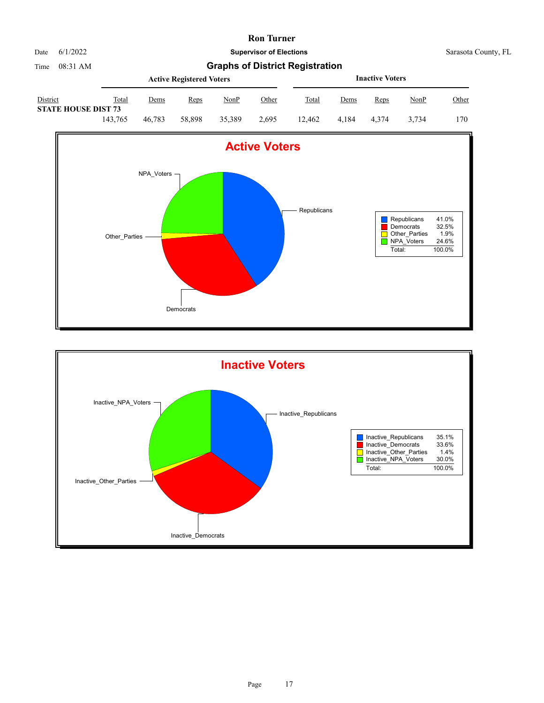

Date 6/1/2022 **Supervisor of Elections** Supervisor **Supervisor of Elections** Sarasota County, FL

|                                               |         |        | <b>Active Registered Voters</b> |             |       | <b>Inactive Voters</b> |       |       |             |       |  |
|-----------------------------------------------|---------|--------|---------------------------------|-------------|-------|------------------------|-------|-------|-------------|-------|--|
| <b>District</b><br><b>STATE HOUSE DIST 73</b> | Total   | Dems   | Reps                            | <u>NonP</u> | Other | Total                  | Dems  | Reps  | <u>NonP</u> | Other |  |
|                                               | 143.765 | 46.783 | 58,898                          | 35,389      | 2.695 | 12.462                 | 4.184 | 4.374 | 3.734       | 170   |  |



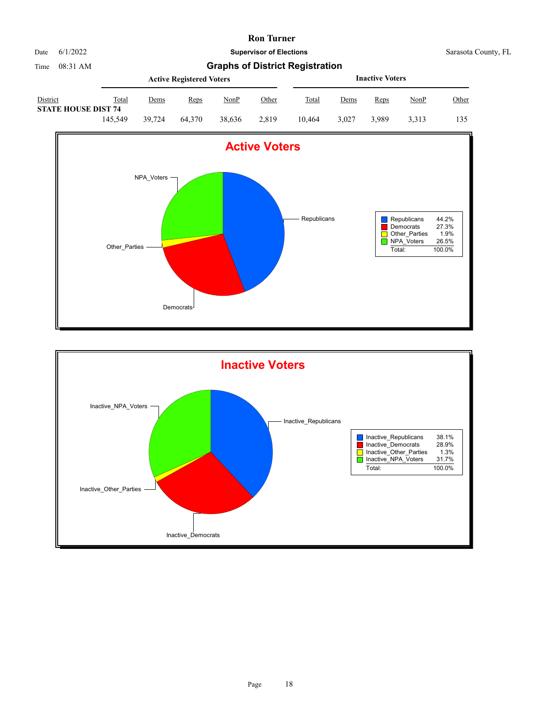

|                                               |         |        | <b>Active Registered Voters</b> |             |       | <b>Inactive Voters</b> |       |       |             |       |  |
|-----------------------------------------------|---------|--------|---------------------------------|-------------|-------|------------------------|-------|-------|-------------|-------|--|
| <b>District</b><br><b>STATE HOUSE DIST 74</b> | Total   | Dems   | Reps                            | <u>NonP</u> | Other | Total                  | Dems  | Reps  | <u>NonP</u> | Other |  |
|                                               | 145.549 | 39.724 | 64.370                          | 38.636      | 2.819 | 10.464                 | 3.027 | 3.989 | 3.313       | 135   |  |



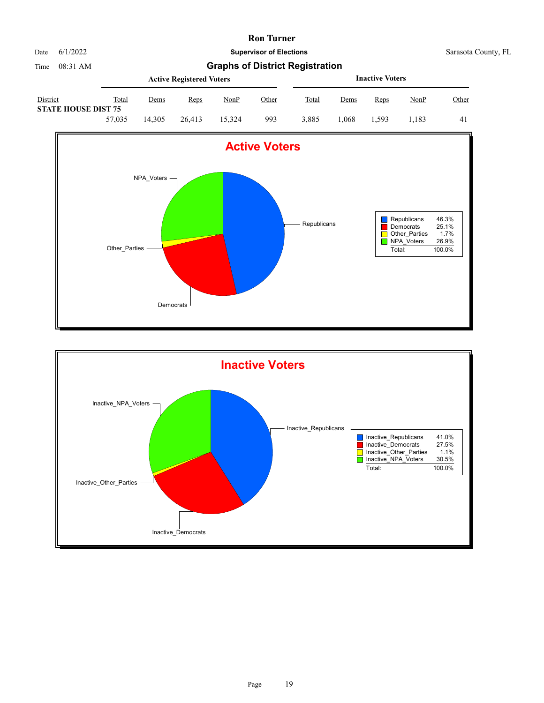

|                                               |        |        | <b>Active Registered Voters</b> |        |              | <b>Inactive Voters</b> |             |       |             |       |  |
|-----------------------------------------------|--------|--------|---------------------------------|--------|--------------|------------------------|-------------|-------|-------------|-------|--|
| <b>District</b><br><b>STATE HOUSE DIST 75</b> | Total  | Dems   | Reps                            | NonP   | <u>Other</u> | Total                  | <u>Dems</u> | Reps  | <b>NonP</b> | Other |  |
|                                               | 57,035 | 14.305 | 26.413                          | 15.324 | 993          | 3.885                  | .068        | 1.593 | .183        | 41    |  |



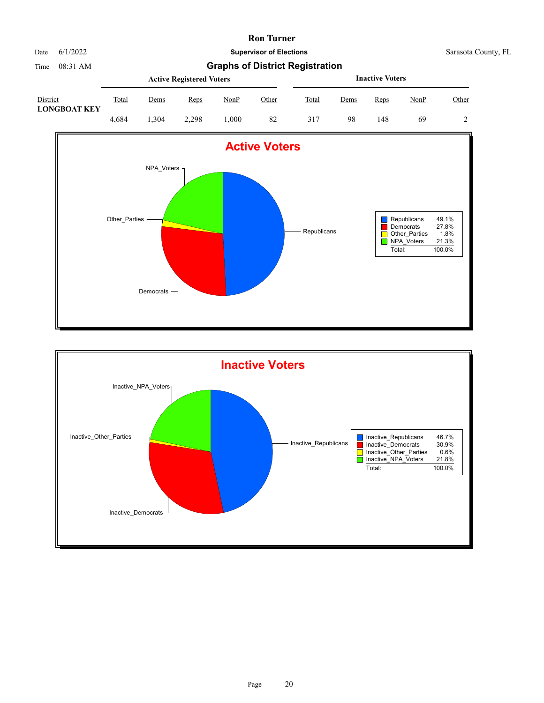Date 6/1/2022 **Supervisor of Elections** Supervisor **Supervisor of Elections** Sarasota County, FL

|                                 |       |      | <b>Active Registered Voters</b> |      | <b>Inactive Voters</b> |       |      |      |             |       |
|---------------------------------|-------|------|---------------------------------|------|------------------------|-------|------|------|-------------|-------|
| District<br><b>LONGBOAT KEY</b> | Total | Dems | Reps                            | NonP | Other                  | Total | Dems | Reps | <u>NonP</u> | Other |
|                                 | 4.684 | .304 | 2.298                           | 000. | 82                     | 317   | 98   | 148  | 69          |       |



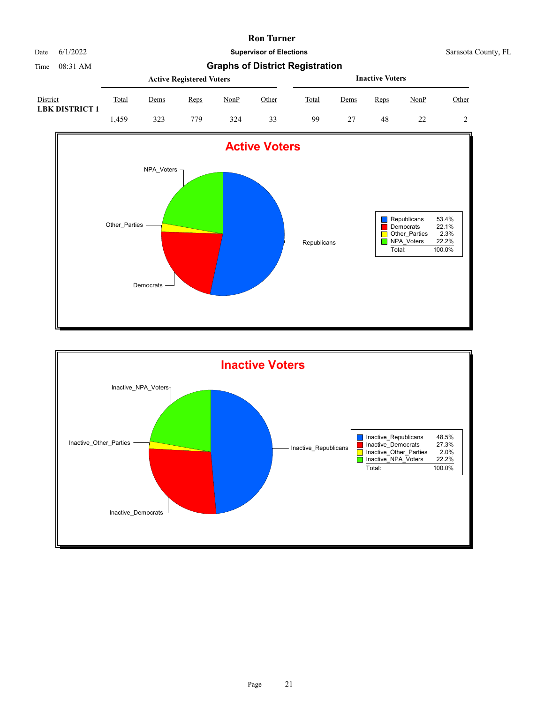

Time 08:31 AM **Graphs of District Registration**

|                                   |       |             | <b>Active Registered Voters</b> |      | <b>Inactive Voters</b> |       |      |      |      |       |
|-----------------------------------|-------|-------------|---------------------------------|------|------------------------|-------|------|------|------|-------|
| District<br><b>LBK DISTRICT 1</b> | Total | <u>Dems</u> | Reps                            | NonP | Other                  | Total | Dems | Reps | NonP | Other |
|                                   | .459  | 323         | 779                             | 324  | 33                     | 99    |      | 48   |      | 2     |



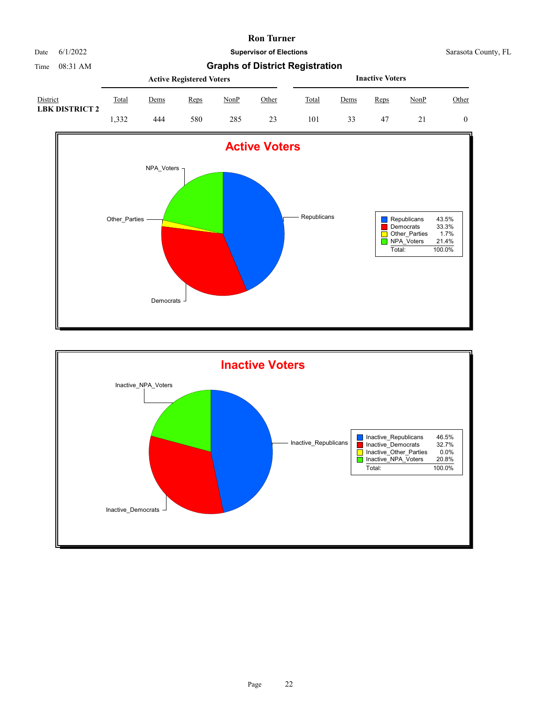

Time 08:31 AM **Graphs of District Registration**

| District<br><b>LBK DISTRICT 2</b> |       |      | <b>Active Registered Voters</b> |             | <b>Inactive Voters</b> |       |      |      |      |       |
|-----------------------------------|-------|------|---------------------------------|-------------|------------------------|-------|------|------|------|-------|
|                                   | Total | Dems | Reps                            | <b>NonP</b> | Other                  | Total | Dems | Reps | NonP | Other |
|                                   | 1.332 | 444  | 580                             | 285         | 23                     | 101   | 33   | -47  |      | 0     |



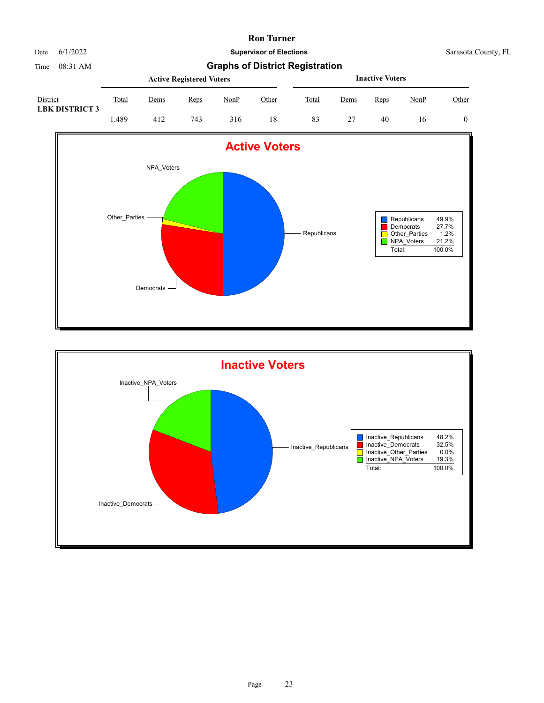

|                                   |       |      | <b>Active Registered Voters</b> |      | <b>Inactive Voters</b> |       |      |      |      |              |
|-----------------------------------|-------|------|---------------------------------|------|------------------------|-------|------|------|------|--------------|
| District<br><b>LBK DISTRICT 3</b> | Total | Dems | Reps                            | NonP | Other                  | Total | Dems | Reps | NonP | <u>Other</u> |
|                                   | .489  | 412  | 743                             | 316  | 18                     | 83    |      | 40   | 16   |              |



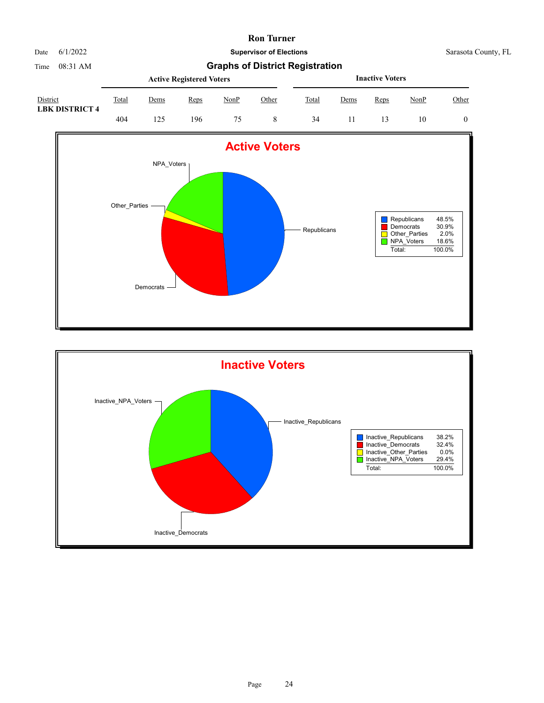Date 6/1/2022 **Supervisor of Elections** Supervisor **Supervisor of Elections** Sarasota County, FL

| District<br><b>LBK DISTRICT 4</b> |       |             | <b>Active Registered Voters</b> |             | <b>Inactive Voters</b> |       |      |      |      |              |
|-----------------------------------|-------|-------------|---------------------------------|-------------|------------------------|-------|------|------|------|--------------|
|                                   | Total | <u>Dems</u> | <b>Reps</b>                     | <b>NonP</b> | Other                  | Total | Dems | Reps | NonP | <u>Other</u> |
|                                   | 404   | 25،         | 196                             |             |                        | 34    |      |      | 10   |              |



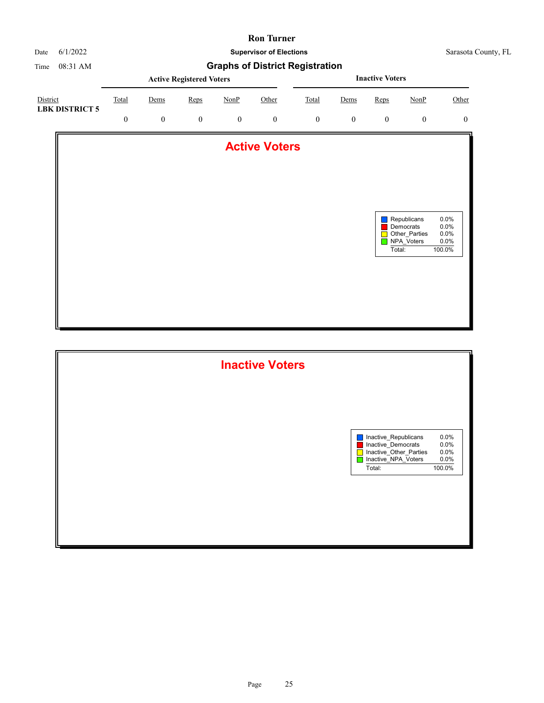

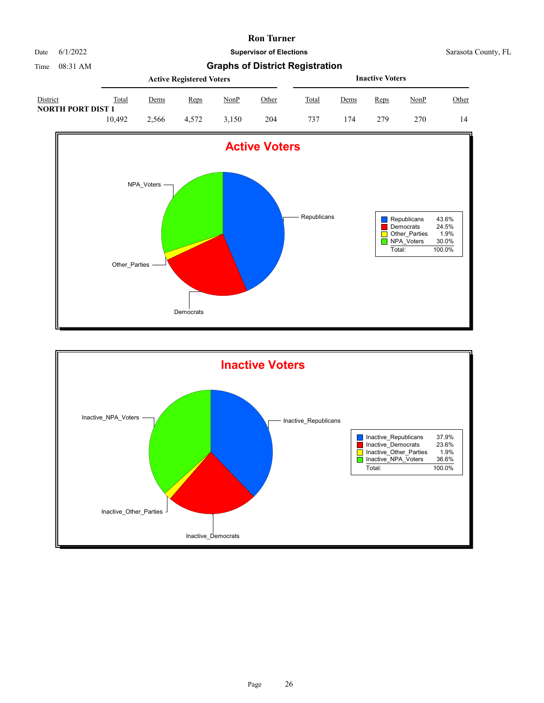

|                                      |        |       | <b>Active Registered Voters</b> |       | <b>Inactive Voters</b> |       |             |      |             |       |
|--------------------------------------|--------|-------|---------------------------------|-------|------------------------|-------|-------------|------|-------------|-------|
| District<br><b>NORTH PORT DIST 1</b> | Total  | Dems  | Reps                            | NonP  | Other                  | Total | <u>Dems</u> | Reps | <u>NonP</u> | Other |
|                                      | 10.492 | 2.566 | 4.572                           | 3.150 | 204                    | 737   | 174         | 279  | 270         | 14    |



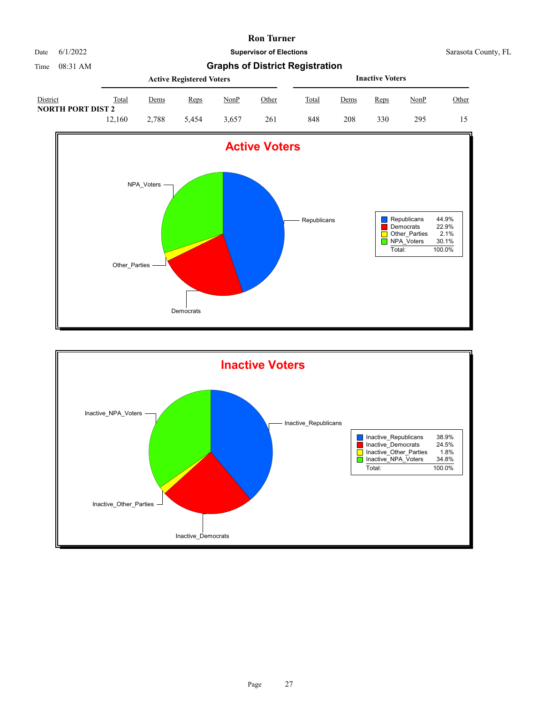

|                                      | <b>Active Registered Voters</b> |       |       |       |       |       | <b>Inactive Voters</b> |      |             |       |  |
|--------------------------------------|---------------------------------|-------|-------|-------|-------|-------|------------------------|------|-------------|-------|--|
| District<br><b>NORTH PORT DIST 2</b> | Total                           | Dems  | Reps  | NonP  | Other | Total | Dems                   | Reps | <u>NonP</u> | Other |  |
|                                      | 12.160                          | 2.788 | 5.454 | 3.657 | 261   | 848   | 208                    | 330  | 295         | 15    |  |



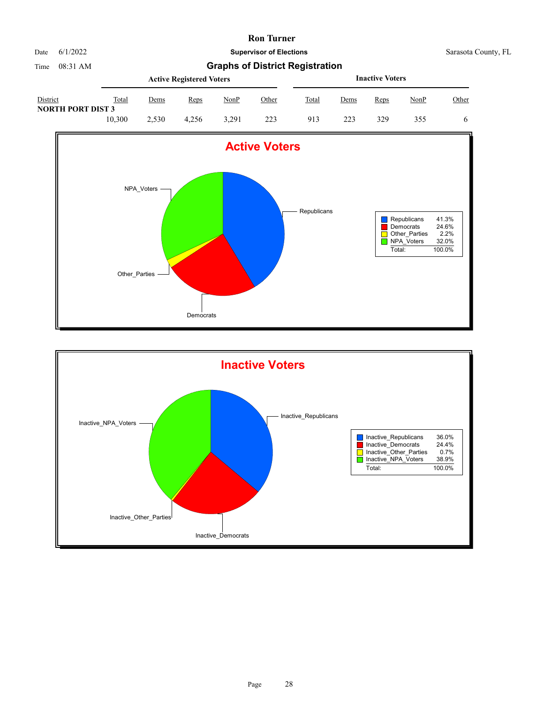

|                                      | <b>Active Registered Voters</b> |       |       |       |       |       | <b>Inactive Voters</b> |      |             |       |  |
|--------------------------------------|---------------------------------|-------|-------|-------|-------|-------|------------------------|------|-------------|-------|--|
| District<br><b>NORTH PORT DIST 3</b> | Total                           | Dems  | Reps  | NonP  | Other | Total | Dems                   | Reps | <u>NonP</u> | Other |  |
|                                      | 10.300                          | 2.530 | 4.256 | 3.291 | 223   | 913   | 223                    | 329  | 355         |       |  |



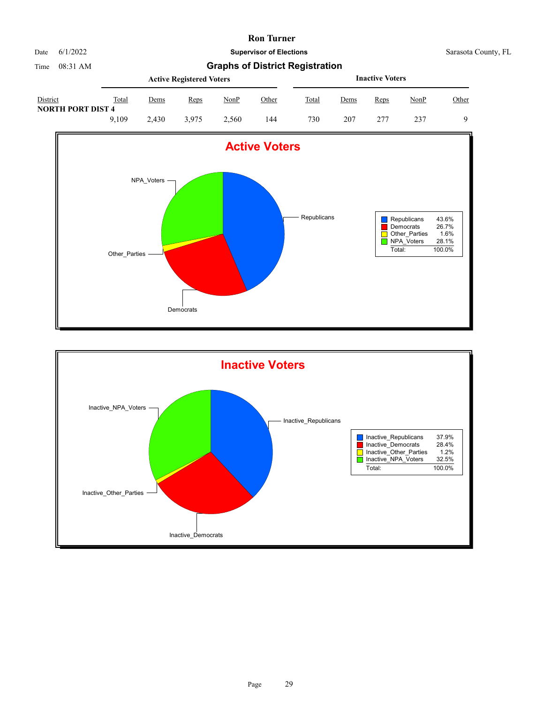

Date 6/1/2022 **Supervisor of Elections** Supervisor **Supervisor of Elections** Sarasota County, FL

|                                      | <b>Active Registered Voters</b> |             |       |             |       |       | <b>Inactive Voters</b> |      |      |          |  |
|--------------------------------------|---------------------------------|-------------|-------|-------------|-------|-------|------------------------|------|------|----------|--|
| District<br><b>NORTH PORT DIST 4</b> | Total                           | <u>Dems</u> | Reps  | <b>NonP</b> | Other | Total | Dems                   | Reps | NonP | Other    |  |
|                                      | 9.109                           | 2.430       | 3.975 | 2.560       | 144   | 730   | 207                    | 277  | 237  | $\Omega$ |  |



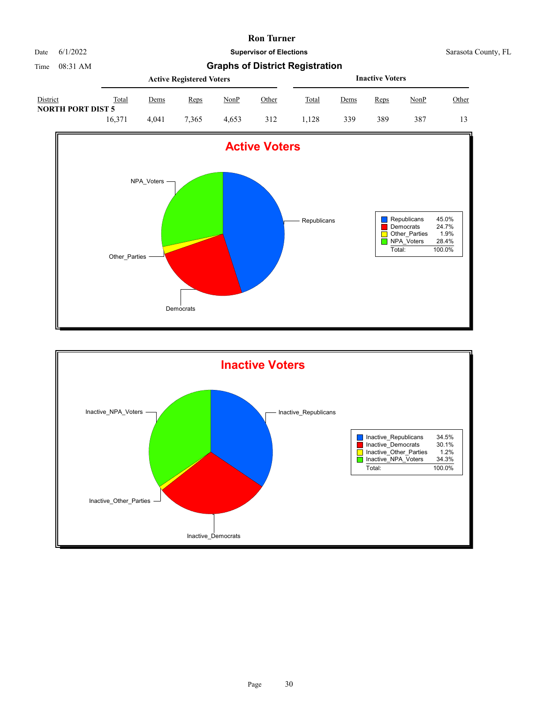

|                                      | <b>Active Registered Voters</b> |       |       |       |              |       | <b>Inactive Voters</b> |      |             |       |  |
|--------------------------------------|---------------------------------|-------|-------|-------|--------------|-------|------------------------|------|-------------|-------|--|
| District<br><b>NORTH PORT DIST 5</b> | Total                           | Dems  | Reps  | NonP  | <u>Other</u> | Total | Dems                   | Reps | <u>NonP</u> | Other |  |
|                                      | 16.371                          | 4.041 | 7,365 | 4.653 | 312          | .128  | 339                    | 389  | 387         | 13    |  |



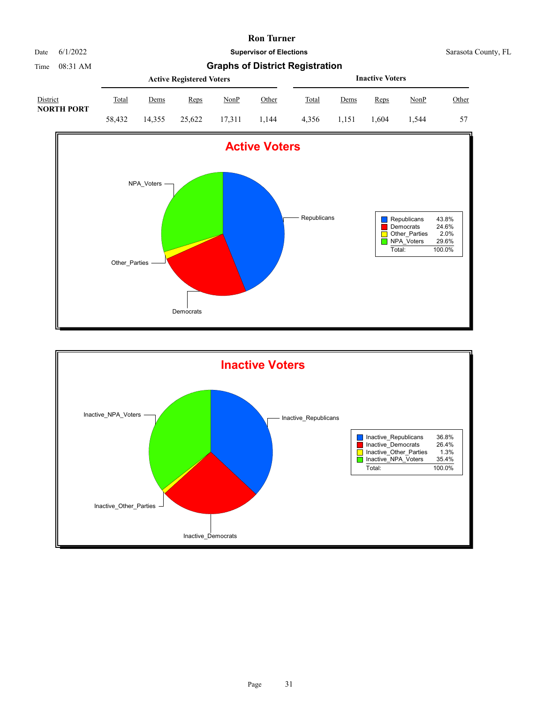

Time 08:31 AM **Graphs of District Registration**

|                               |        | <b>Inactive Voters</b> |        |        |       |       |       |       |         |       |
|-------------------------------|--------|------------------------|--------|--------|-------|-------|-------|-------|---------|-------|
| District<br><b>NORTH PORT</b> | Total  | Dems                   | Reps   | NonP   | Other | Total | Dems  | Reps  | NonP    | Other |
|                               | 58.432 | 14.355                 | 25,622 | 17.311 | 1.144 | 4.356 | 1.151 | 1.604 | . . 544 | 57    |



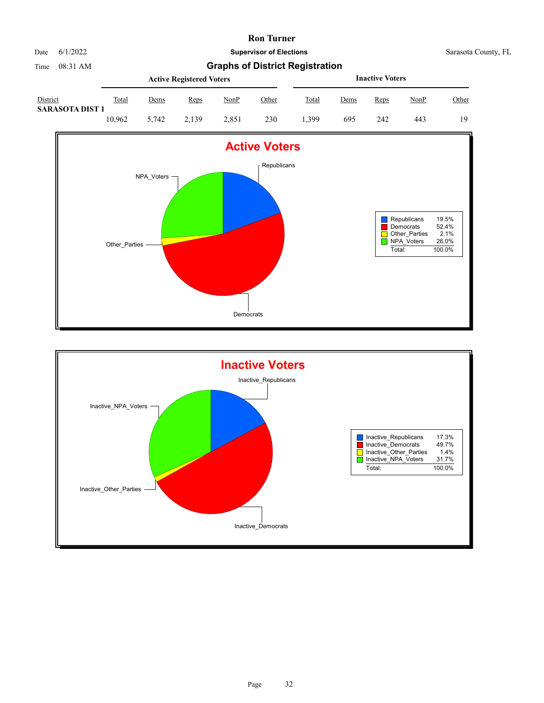

|                                    |        | <b>Inactive Voters</b> |             |       |       |       |      |      |      |              |
|------------------------------------|--------|------------------------|-------------|-------|-------|-------|------|------|------|--------------|
| District<br><b>SARASOTA DIST 1</b> | Total  | <u>Dems</u>            | <u>Reps</u> | NonP  | Other | Total | Dems | Reps | NonP | <u>Other</u> |
|                                    | 10.962 | 5.742                  | 2.139       | 2.851 | 230   | . 399 | 695  | 242  | 443  | 19           |



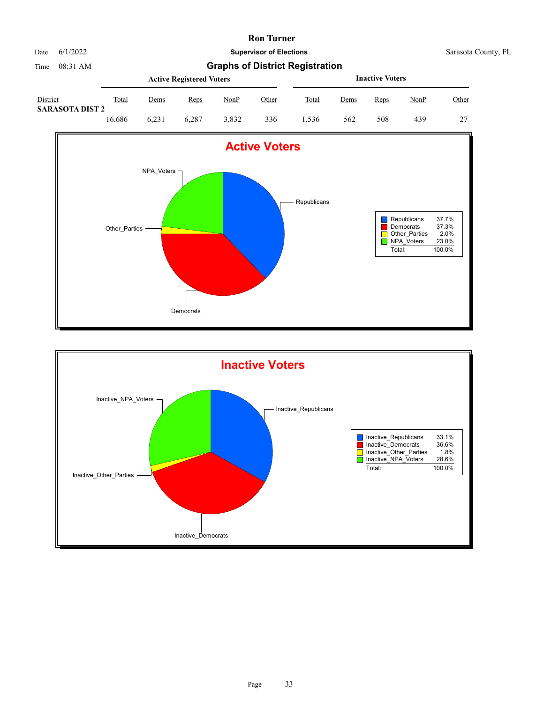

|                                           | <b>Active Registered Voters</b> |             |       |       |              |       | <b>Inactive Voters</b> |      |             |       |  |
|-------------------------------------------|---------------------------------|-------------|-------|-------|--------------|-------|------------------------|------|-------------|-------|--|
| <b>District</b><br><b>SARASOTA DIST 2</b> | Total                           | <u>Dems</u> | Reps  | NonP  | <u>Other</u> | Total | <u>Dems</u>            | Reps | <u>NonP</u> | Other |  |
|                                           | 16.686                          | 6.231       | 6.287 | 3.832 | 336          | .,536 | 562                    | 508  | 439         | 27    |  |



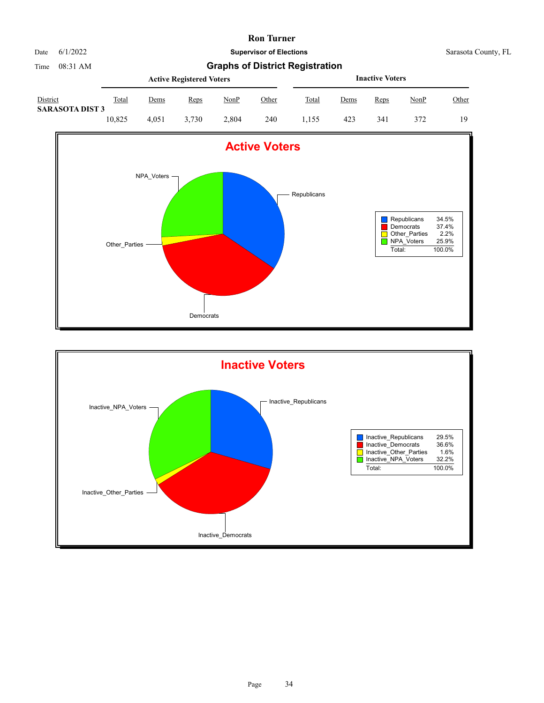

Time 08:31 AM **Graphs of District Registration**

|                                    | <b>Active Registered Voters</b> |       |             |             |       |              | <b>Inactive Voters</b> |      |      |       |  |
|------------------------------------|---------------------------------|-------|-------------|-------------|-------|--------------|------------------------|------|------|-------|--|
| District<br><b>SARASOTA DIST 3</b> | Total                           | Dems  | <b>Reps</b> | <u>NonP</u> | Other | <b>Total</b> | Dems                   | Reps | NonP | Other |  |
|                                    | 10.825                          | 4.051 | 3.730       | 2.804       | 240   | 1.155        | 423                    | 341  | 372  | 19    |  |



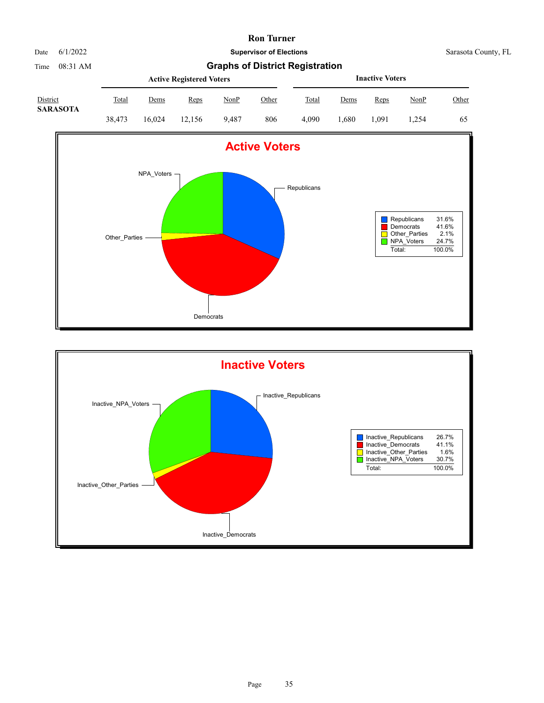| Date | 6/1/2022 |
|------|----------|
|      |          |

**Supervisor of Elections** Sarasota County, FL

|                             | <b>Active Registered Voters</b> |             |        |       |       |              | <b>Inactive Voters</b> |       |             |       |  |  |
|-----------------------------|---------------------------------|-------------|--------|-------|-------|--------------|------------------------|-------|-------------|-------|--|--|
| District<br><b>SARASOTA</b> | <u>Total</u>                    | <u>Dems</u> | Reps   | NonP  | Other | <b>Total</b> | Dems                   | Reps  | <u>NonP</u> | Other |  |  |
|                             | 38.473                          | 16.024      | 12.156 | 9.487 | 806   | 4.090        | 1.680                  | 1.091 | .254        | 65    |  |  |



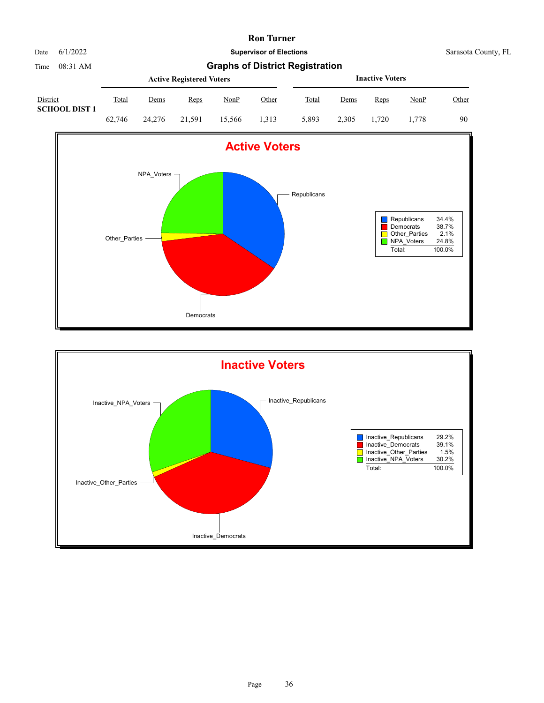

|                                  | <b>Active Registered Voters</b> |             |             |             |              |              | <b>Inactive Voters</b> |       |             |              |  |  |
|----------------------------------|---------------------------------|-------------|-------------|-------------|--------------|--------------|------------------------|-------|-------------|--------------|--|--|
| District<br><b>SCHOOL DIST 1</b> | <b>Total</b>                    | <u>Dems</u> | <u>Reps</u> | <u>NonP</u> | <u>Other</u> | <b>Total</b> | Dems                   | Reps  | <u>NonP</u> | <u>Other</u> |  |  |
|                                  | 62.746                          | 24,276      | 21.591      | 15.566      | 1.313        | 5.893        | 2.305                  | 1.720 | 1.778       | 90           |  |  |



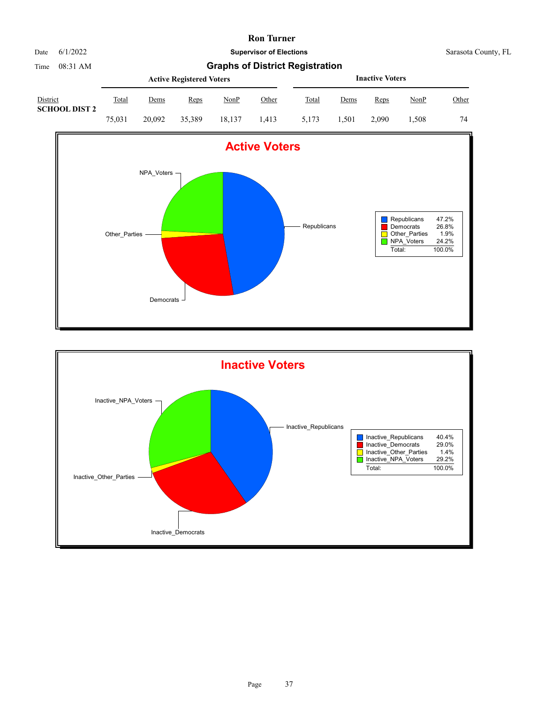

Time 08:31 AM **Graphs of District Registration**

|                                  |        |        | <b>Active Registered Voters</b> |        |       |              | <b>Inactive Voters</b> |       |         |       |  |  |
|----------------------------------|--------|--------|---------------------------------|--------|-------|--------------|------------------------|-------|---------|-------|--|--|
| District<br><b>SCHOOL DIST 2</b> | Total  | Dems   | Reps                            | NonP   | Other | <b>Total</b> | Dems                   | Reps  | NonP    | Other |  |  |
|                                  | 75.031 | 20,092 | 35,389                          | 18.137 | 1.413 | 5.173        | 1.501                  | 2.090 | . . 508 | 74    |  |  |



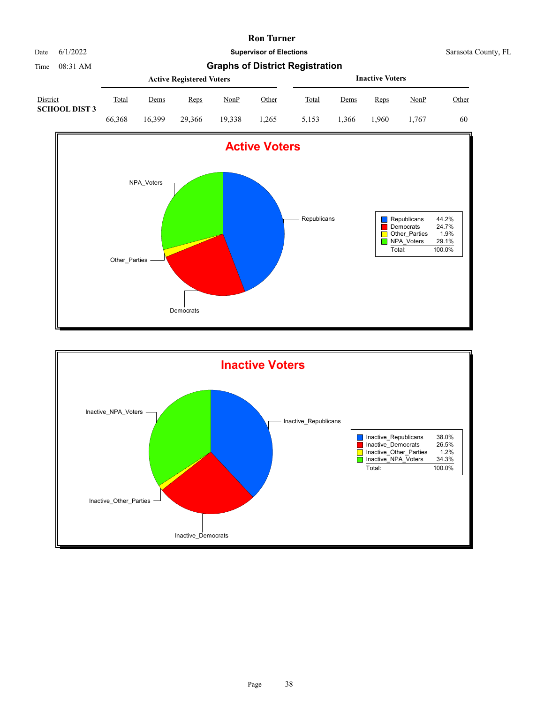

Time 08:31 AM **Graphs of District Registration**

|                                         |        |        | <b>Active Registered Voters</b> |        |       | <b>Inactive Voters</b> |       |      |       |       |  |
|-----------------------------------------|--------|--------|---------------------------------|--------|-------|------------------------|-------|------|-------|-------|--|
| <b>District</b><br><b>SCHOOL DIST 3</b> | Total  | Dems   | Reps                            | NonP   | Other | Total                  | Dems  | Reps | NonP  | Other |  |
|                                         | 66,368 | 16.399 | 29,366                          | 19.338 | 1.265 | 5.153                  | . 366 | .960 | 1.767 | 60    |  |



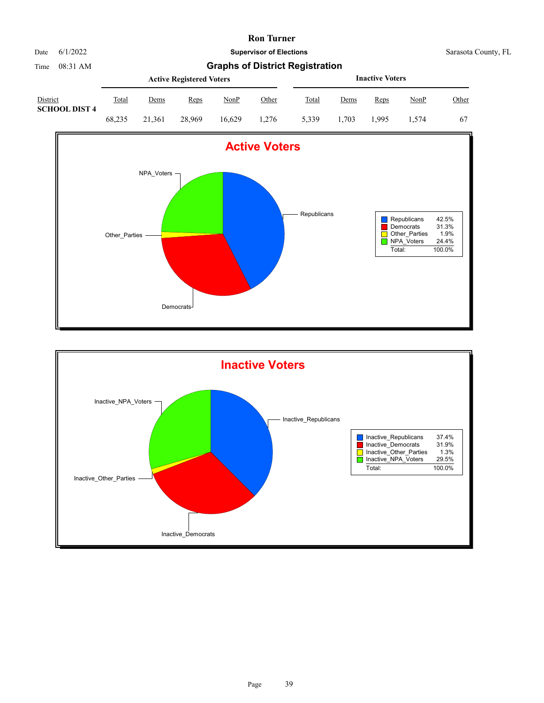

Time 08:31 AM **Graphs of District Registration**

|                                  |        |        | <b>Active Registered Voters</b> |             |       | <b>Inactive Voters</b> |       |      |       |       |  |
|----------------------------------|--------|--------|---------------------------------|-------------|-------|------------------------|-------|------|-------|-------|--|
| District<br><b>SCHOOL DIST 4</b> | Total  | Dems   | Reps                            | <b>NonP</b> | Other | <b>Total</b>           | Dems  | Reps | NonP  | Other |  |
|                                  | 68.235 | 21.361 | 28,969                          | 16.629      | 1.276 | 5,339                  | 1.703 | .995 | 1.574 | 67    |  |



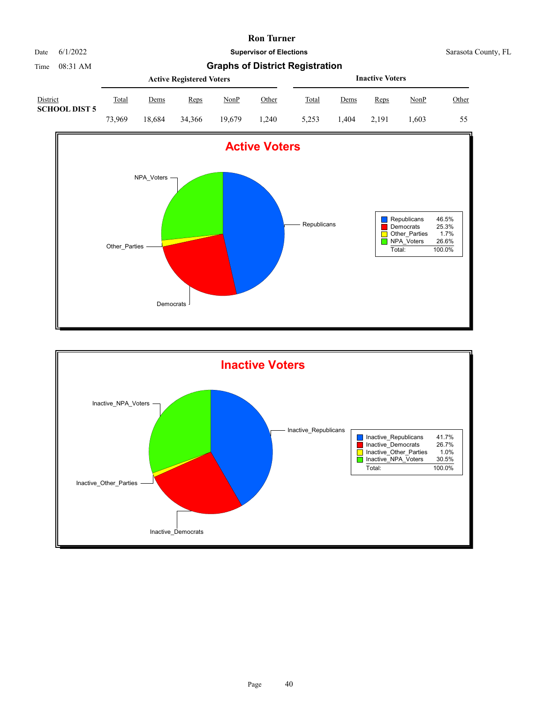

|                                  |        |             | <b>Active Registered Voters</b> |             |       |       | <b>Inactive Voters</b> |       |       |       |  |  |
|----------------------------------|--------|-------------|---------------------------------|-------------|-------|-------|------------------------|-------|-------|-------|--|--|
| District<br><b>SCHOOL DIST 5</b> | Total  | <u>Dems</u> | <u>Reps</u>                     | <u>NonP</u> | Other | Total | <u>Dems</u>            | Reps  | NonP  | Other |  |  |
|                                  | 73.969 | 18.684      | 34,366                          | 19.679      | 1.240 | 5.253 | .404                   | 2.191 | . 603 | 55    |  |  |



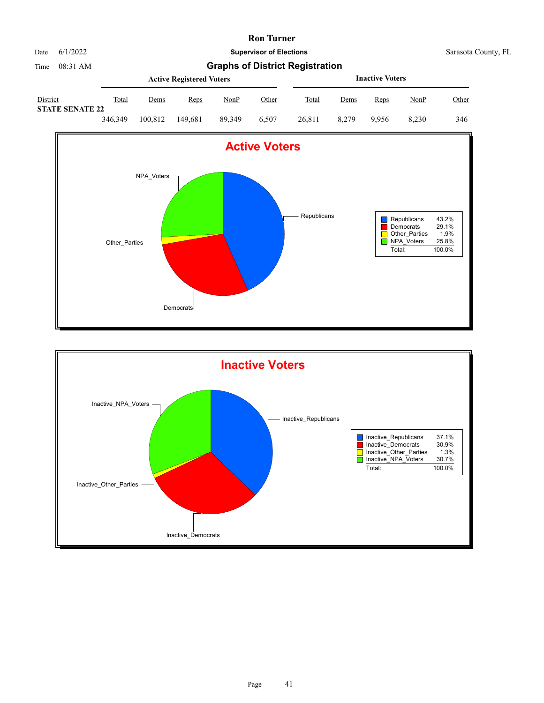

Time 08:31 AM **Graphs of District Registration**

|                                    |         |         | <b>Active Registered Voters</b> |        | <b>Inactive Voters</b> |        |       |       |             |       |
|------------------------------------|---------|---------|---------------------------------|--------|------------------------|--------|-------|-------|-------------|-------|
| District<br><b>STATE SENATE 22</b> | Total   | Dems    | Reps                            | NonP   | Other                  | Total  | Dems  | Reps  | <u>NonP</u> | Other |
|                                    | 346,349 | 100.812 | 149.681                         | 89.349 | 6.507                  | 26,811 | 8.279 | 9.956 | 8.230       | 346   |



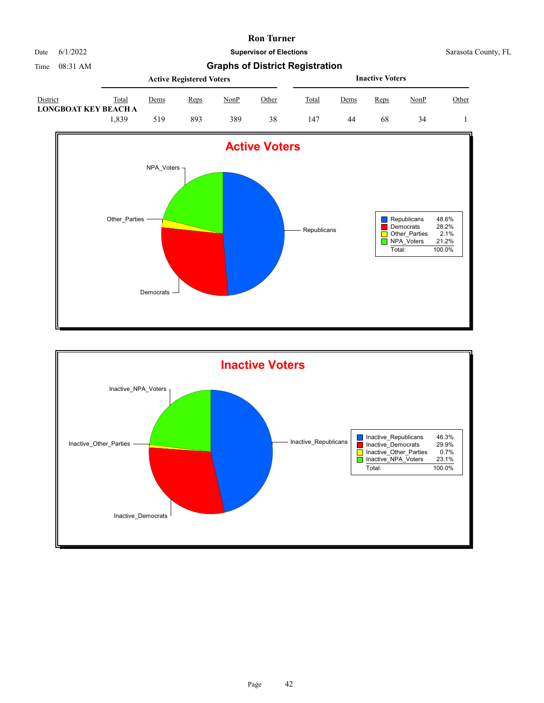

Date 6/1/2022 **Supervisor of Elections** Supervisor **Supervisor of Elections** Sarasota County, FL

|                                  |       |      | <b>Active Registered Voters</b> |      |              | <b>Inactive Voters</b> |             |      |             |       |  |
|----------------------------------|-------|------|---------------------------------|------|--------------|------------------------|-------------|------|-------------|-------|--|
| District<br>LONGBOAT KEY BEACH A | Total | Dems | Reps                            | NonP | <u>Other</u> | Total                  | <u>Dems</u> | Reps | <u>NonP</u> | Other |  |
|                                  | .839  | 519  | 893                             | 389  | 38           | 147                    | 44          | 68   | 34          |       |  |



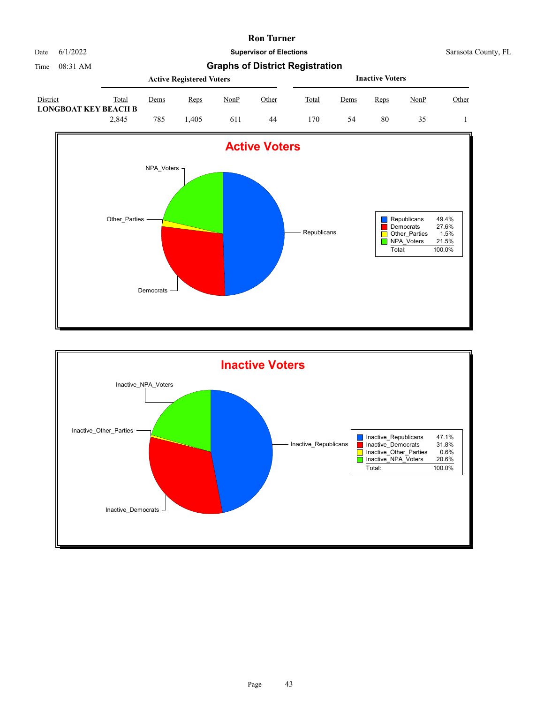

Date 6/1/2022 **Supervisor of Elections** Supervisor **Supervisor of Elections** Sarasota County, FL

|                                         |       |      | <b>Active Registered Voters</b> |      |       | <b>Inactive Voters</b> |      |      |             |       |  |
|-----------------------------------------|-------|------|---------------------------------|------|-------|------------------------|------|------|-------------|-------|--|
| District<br><b>LONGBOAT KEY BEACH B</b> | Total | Dems | Reps                            | NonP | Other | Total                  | Dems | Reps | <u>NonP</u> | Other |  |
|                                         | 2.845 | 785  | .405                            | 611  | 44    | 170                    | 54   | 80   |             |       |  |



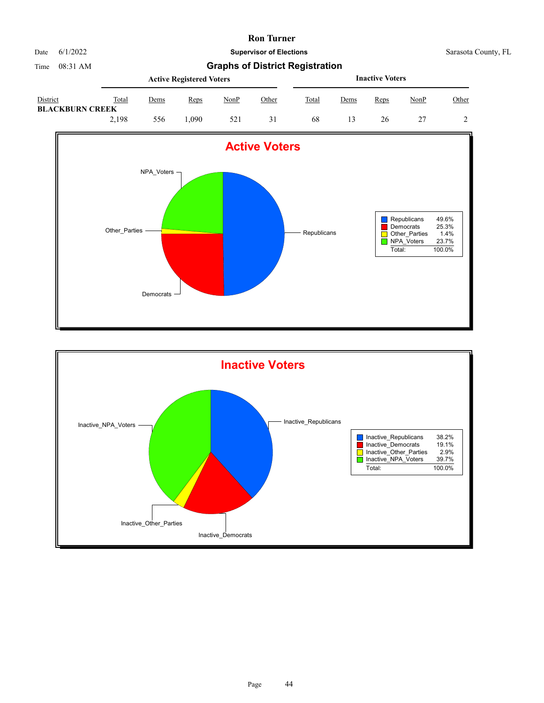

Date 6/1/2022 **Supervisor of Elections** Supervisor **Supervisor of Elections** Sarasota County, FL

|                                           |       |      | <b>Active Registered Voters</b> |      |              | <b>Inactive Voters</b> |      |      |             |       |  |
|-------------------------------------------|-------|------|---------------------------------|------|--------------|------------------------|------|------|-------------|-------|--|
| <b>District</b><br><b>BLACKBURN CREEK</b> | Total | Dems | Reps                            | NonP | <u>Other</u> | Total                  | Dems | Reps | <u>NonP</u> | Other |  |
|                                           | 2,198 | 556  | .090                            | 521  | 31           | 68                     |      | 26   |             |       |  |



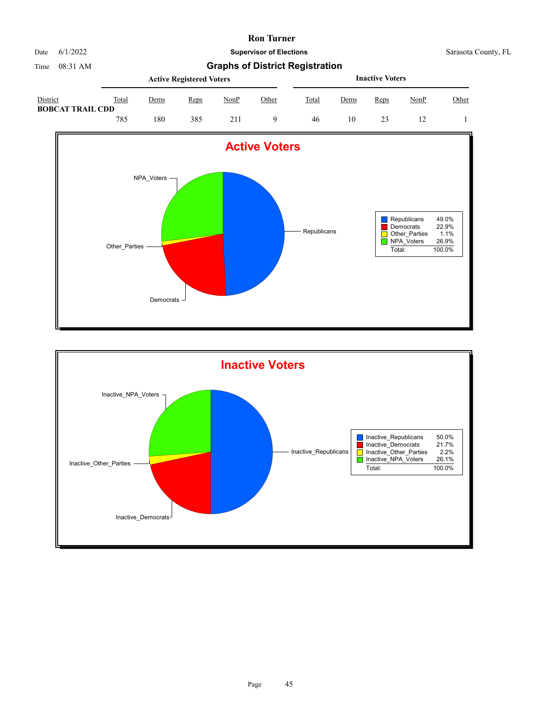

Time 08:31 AM **Graphs of District Registration**

|                                     |       |             | <b>Active Registered Voters</b> |             |       | <b>Inactive Voters</b> |      |      |      |       |  |  |
|-------------------------------------|-------|-------------|---------------------------------|-------------|-------|------------------------|------|------|------|-------|--|--|
| District<br><b>BOBCAT TRAIL CDD</b> | Total | <u>Dems</u> | Reps                            | <b>NonP</b> | Other | Total                  | Dems | Reps | NonP | Other |  |  |
|                                     | 785   | 180         | 385                             | 211         |       | 46                     | 10   |      |      |       |  |  |



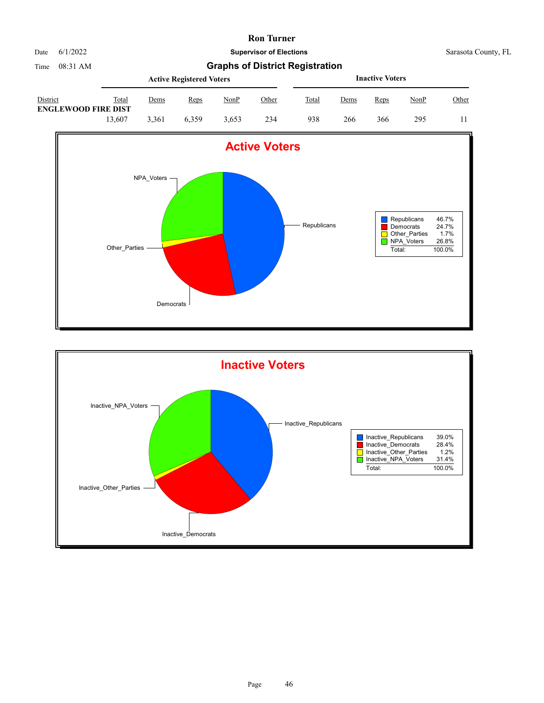

|                                               |        |       | <b>Active Registered Voters</b> |             |              | <b>Inactive Voters</b> |             |      |             |       |  |
|-----------------------------------------------|--------|-------|---------------------------------|-------------|--------------|------------------------|-------------|------|-------------|-------|--|
| <b>District</b><br><b>ENGLEWOOD FIRE DIST</b> | Total  | Dems  | Reps                            | <u>NonP</u> | <u>Other</u> | Total                  | <u>Dems</u> | Reps | <u>NonP</u> | Other |  |
|                                               | 13.607 | 3.361 | 6.359                           | 3.653       | 234          | 938                    | 266         | 366  | 295         |       |  |



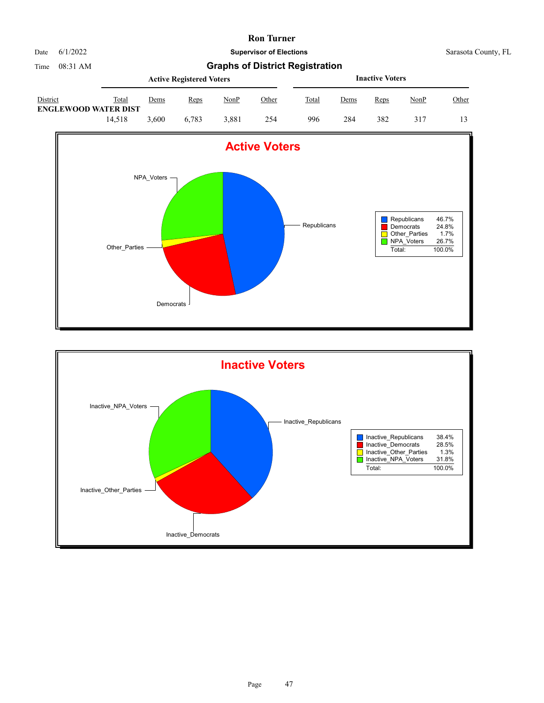

Date 6/1/2022 **Supervisor of Elections** Supervisor **Supervisor of Elections** Sarasota County, FL

|                                         |        |       | <b>Active Registered Voters</b> |             |              | <b>Inactive Voters</b> |             |      |             |       |  |
|-----------------------------------------|--------|-------|---------------------------------|-------------|--------------|------------------------|-------------|------|-------------|-------|--|
| District<br><b>ENGLEWOOD WATER DIST</b> | Total  | Dems  | Reps                            | <u>NonP</u> | <u>Other</u> | Total                  | <u>Dems</u> | Reps | <u>NonP</u> | Other |  |
|                                         | 14.518 | 3.600 | 6.783                           | 3.881       | 254          | 996                    | 284         | 382  |             |       |  |



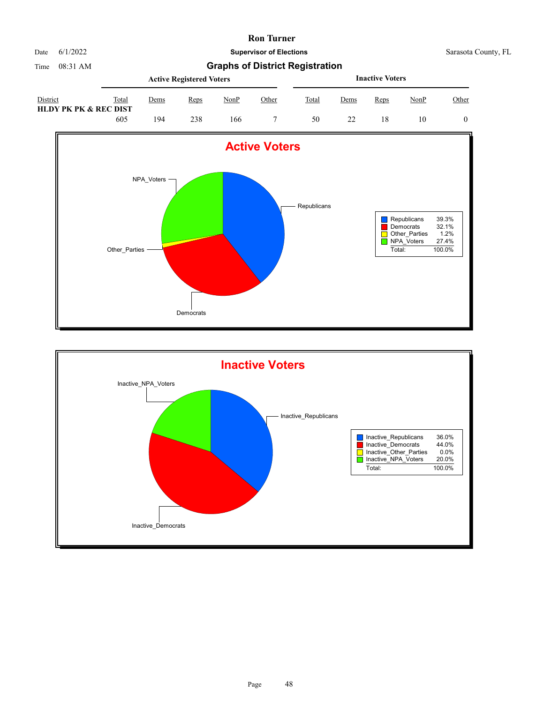

Date 6/1/2022 **Supervisor of Elections** Supervisor **Supervisor of Elections** Sarasota County, FL

|                                   |       |      | <b>Active Registered Voters</b> |      |              | <b>Inactive Voters</b> |             |      |             |       |  |
|-----------------------------------|-------|------|---------------------------------|------|--------------|------------------------|-------------|------|-------------|-------|--|
| District<br>HLDY PK PK & REC DIST | Total | Dems | Reps                            | NonP | <u>Other</u> | Total                  | <u>Dems</u> | Reps | <u>NonP</u> | Other |  |
|                                   | 605   | 194  | 238                             | 166  |              | 50                     |             | 18   | 10          |       |  |



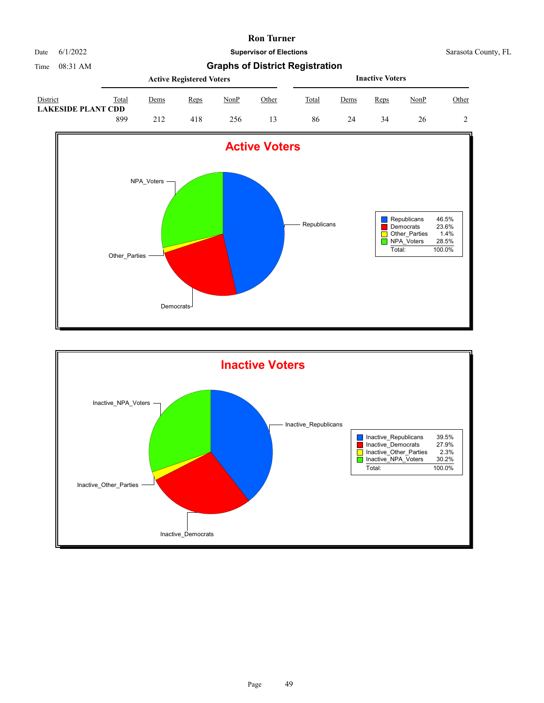

|                                       |       | <b>Active Registered Voters</b> |      | <b>Inactive Voters</b> |       |       |      |      |             |       |
|---------------------------------------|-------|---------------------------------|------|------------------------|-------|-------|------|------|-------------|-------|
| District<br><b>LAKESIDE PLANT CDD</b> | Total | Dems                            | Reps | NonP                   | Other | Total | Dems | Reps | <b>NonP</b> | Other |
|                                       | 899   | 212                             | 418  | 256                    |       | 86    | 24   | 34   | 26          |       |



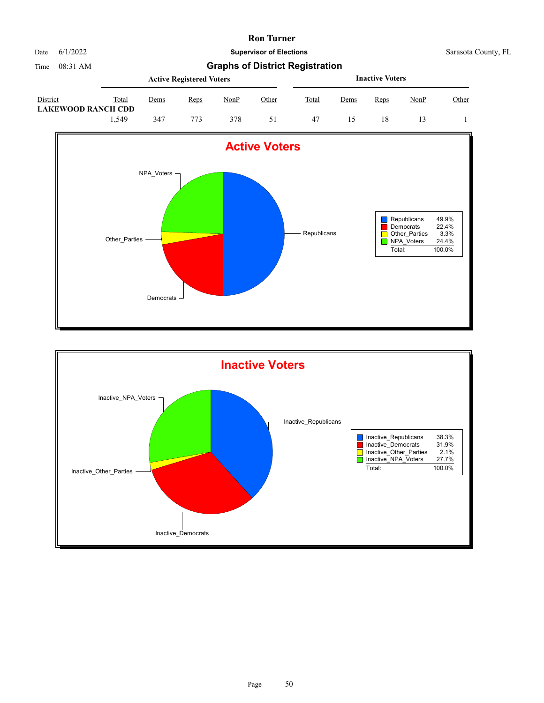

|                                       |       |      | <b>Active Registered Voters</b> |             | <b>Inactive Voters</b> |       |      |      |      |              |
|---------------------------------------|-------|------|---------------------------------|-------------|------------------------|-------|------|------|------|--------------|
| District<br><b>LAKEWOOD RANCH CDD</b> | Total | Dems | Reps                            | <u>NonP</u> | Other                  | Total | Dems | Reps | NonP | <u>Other</u> |
|                                       | .549  | 347  | 773                             | 378         |                        | -47   |      | 18   |      |              |



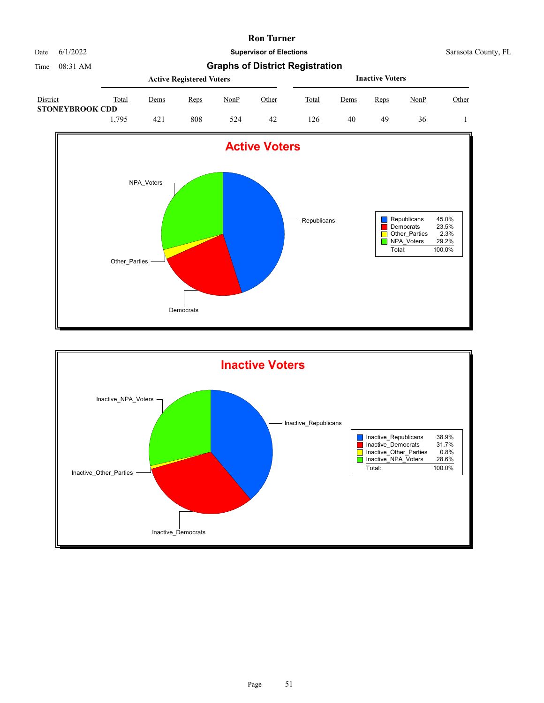

|                                    |       | <b>Inactive Voters</b> |      |      |              |       |             |      |             |       |
|------------------------------------|-------|------------------------|------|------|--------------|-------|-------------|------|-------------|-------|
| District<br><b>STONEYBROOK CDD</b> | Total | Dems                   | Reps | NonP | <u>Other</u> | Total | <u>Dems</u> | Reps | <u>NonP</u> | Other |
|                                    | 1.795 | 421                    | 808  | 524  | 42           | 126   | 40          | 49   | 36          |       |



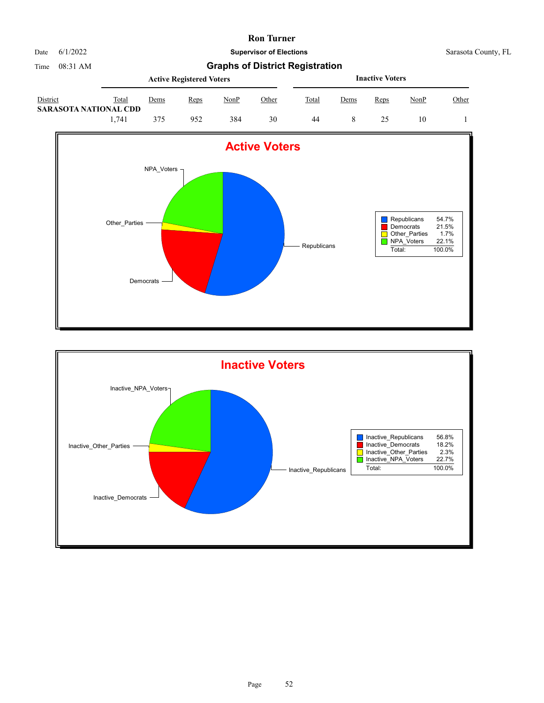

Date 6/1/2022 **Supervisor of Elections** Supervisor **Supervisor of Elections** Sarasota County, FL

|                                          |       | <b>Active Registered Voters</b> |      |      |              |       |      | <b>Inactive Voters</b> |             |       |  |  |  |
|------------------------------------------|-------|---------------------------------|------|------|--------------|-------|------|------------------------|-------------|-------|--|--|--|
| District<br><b>SARASOTA NATIONAL CDD</b> | Total | Dems                            | Reps | NonP | <u>Other</u> | Total | Dems | Reps                   | <u>NonP</u> | Other |  |  |  |
|                                          | 1.741 | 375                             | 952  | 384  | 30           | 44    |      |                        | 10          |       |  |  |  |



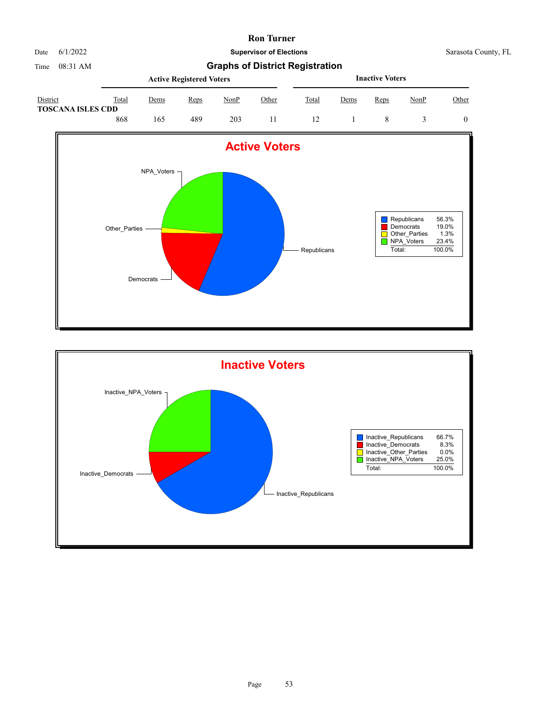

Date 6/1/2022 **Supervisor of Elections** Supervisor **Supervisor of Elections** Sarasota County, FL

|                                      |       | <b>Inactive Voters</b> |      |      |              |       |             |      |             |       |
|--------------------------------------|-------|------------------------|------|------|--------------|-------|-------------|------|-------------|-------|
| District<br><b>TOSCANA ISLES CDD</b> | Total | Dems                   | Reps | NonP | <u>Other</u> | Total | <u>Dems</u> | Reps | <u>NonP</u> | Other |
|                                      | 868   | 165                    | 489  | 203  |              |       |             |      |             |       |



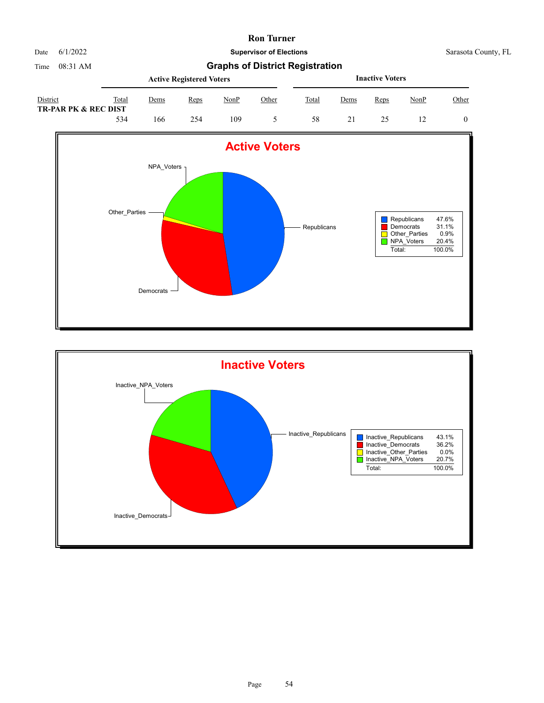

Date 6/1/2022 **Supervisor of Elections** Supervisor **Supervisor of Elections** Sarasota County, FL

|                                             |       | <b>Active Registered Voters</b> |      | <b>Inactive Voters</b> |       |       |      |      |             |       |
|---------------------------------------------|-------|---------------------------------|------|------------------------|-------|-------|------|------|-------------|-------|
| District<br><b>TR-PAR PK &amp; REC DIST</b> | Total | Dems                            | Reps | NonP                   | Other | Total | Dems | Reps | <b>NonP</b> | Other |
|                                             | 534   | 166                             | 254  | 109                    |       | 58    |      |      |             |       |



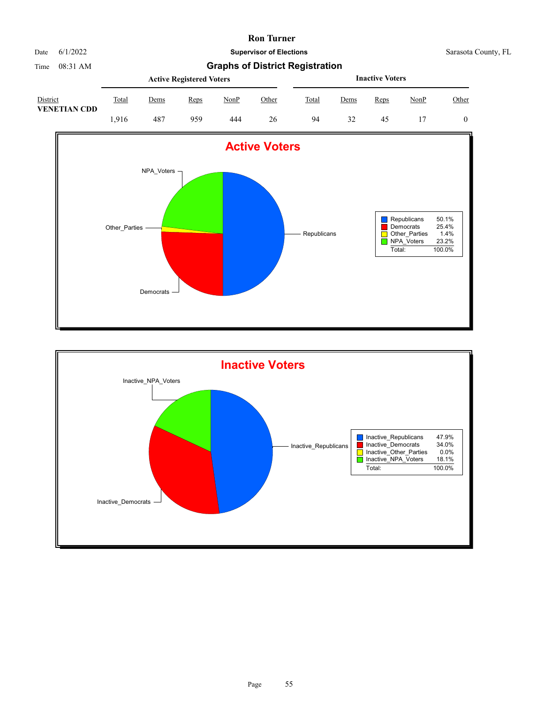

Date 6/1/2022 **Supervisor of Elections** Supervisor **Supervisor of Elections** Sarasota County, FL

Time 08:31 AM **Graphs of District Registration**

|                                 |       |      | <b>Active Registered Voters</b> |             | <b>Inactive Voters</b> |       |      |      |      |       |
|---------------------------------|-------|------|---------------------------------|-------------|------------------------|-------|------|------|------|-------|
| District<br><b>VENETIAN CDD</b> | Total | Dems | Reps                            | <b>NonP</b> | Other                  | Total | Dems | Reps | NonP | Other |
|                                 | .916  | 487  | 959                             | 444         | 26                     | 94    | 32   | 45   |      |       |



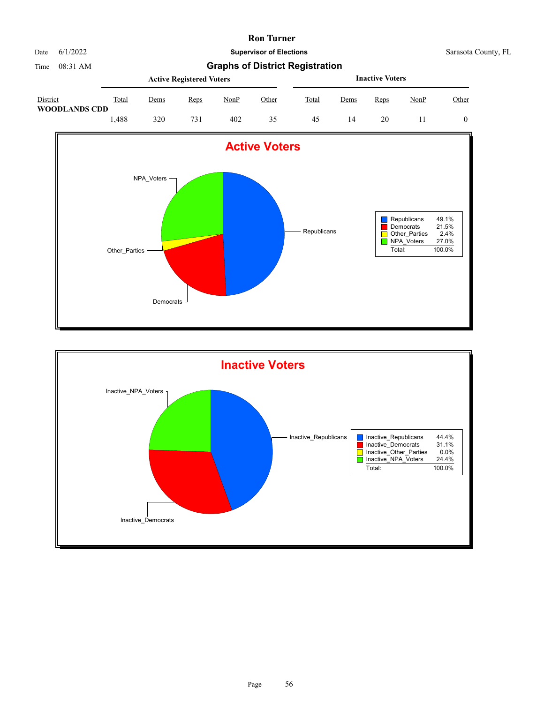

|                                  |       | <b>Active Registered Voters</b> |      | <b>Inactive Voters</b> |       |       |      |      |             |       |
|----------------------------------|-------|---------------------------------|------|------------------------|-------|-------|------|------|-------------|-------|
| District<br><b>WOODLANDS CDD</b> | Total | Dems                            | Reps | NonP                   | Other | Total | Dems | Reps | <u>NonP</u> | Other |
|                                  | .488  | 320                             | 731  | 402                    | 35    | 45    | 14   | 20   |             |       |



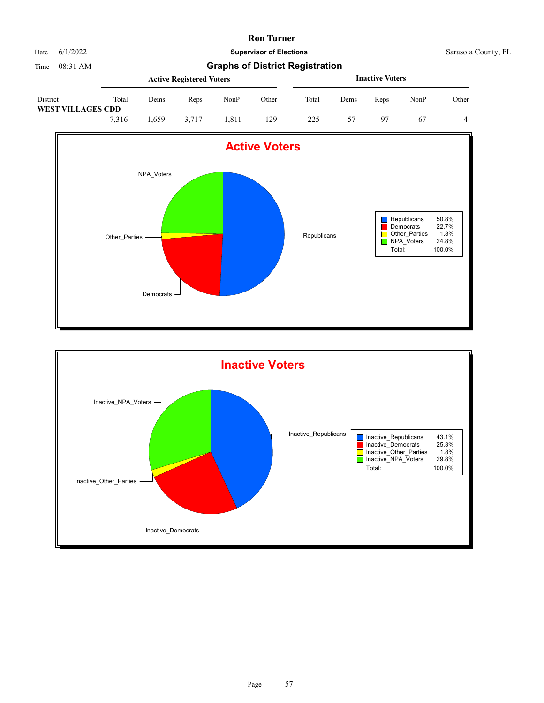

|                                      |       |      | <b>Active Registered Voters</b> |      | <b>Inactive Voters</b> |       |      |      |      |       |
|--------------------------------------|-------|------|---------------------------------|------|------------------------|-------|------|------|------|-------|
| District<br><b>WEST VILLAGES CDD</b> | Total | Dems | Reps                            | NonP | Other                  | Total | Dems | Reps | NonP | Other |
|                                      | 7.316 | .659 | 3.717                           | .811 | 129                    | 225   | 57   | 97   | -67  |       |



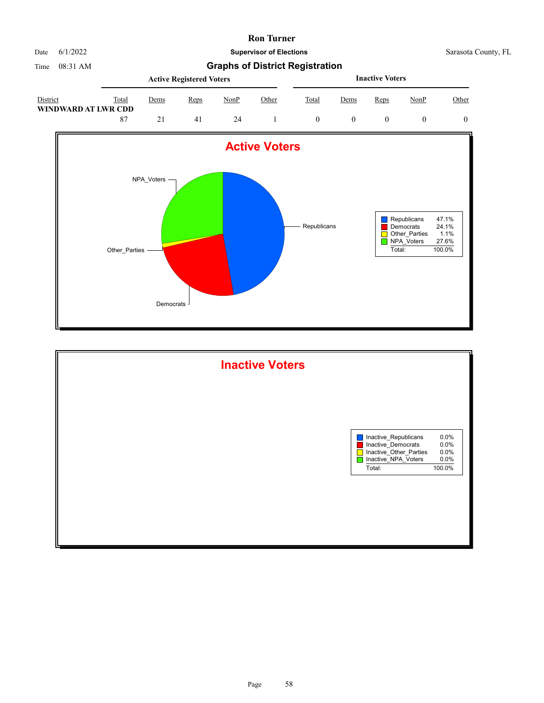

Date 6/1/2022 **Supervisor of Elections** Supervisor **Supervisor of Elections** Sarasota County, FL

|                                 |       | <b>Active Registered Voters</b> |      |      |       |       |             | <b>Inactive Voters</b> |      |       |  |  |  |
|---------------------------------|-------|---------------------------------|------|------|-------|-------|-------------|------------------------|------|-------|--|--|--|
| District<br>WINDWARD AT LWR CDD | Total | Dems                            | Reps | NonP | Other | Total | <u>Dems</u> | Reps                   | NonP | Other |  |  |  |
|                                 | -87   |                                 | 41   | 24   |       |       |             |                        |      |       |  |  |  |



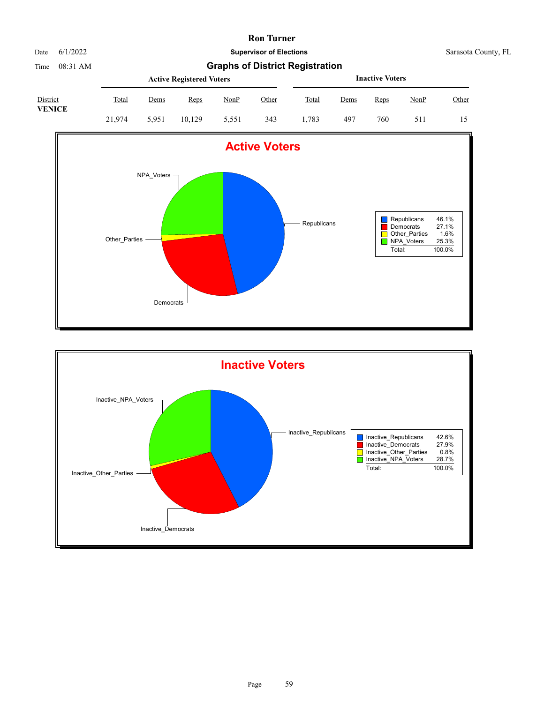| 11,0000 |  |  |
|---------|--|--|

Date 6/1/2022 **Supervisor of Elections** Supervisor **Supervisor of Elections** Sarasota County, FL

Time 08:31 AM **Graphs of District Registration**

|                           |              | <b>Active Registered Voters</b> |        |       |       |              |      | <b>Inactive Voters</b> |             |       |  |  |  |
|---------------------------|--------------|---------------------------------|--------|-------|-------|--------------|------|------------------------|-------------|-------|--|--|--|
| District<br><b>VENICE</b> | <b>Total</b> | <u>Dems</u>                     | Reps   | NonP  | Other | <b>Total</b> | Dems | Reps                   | <u>NonP</u> | Other |  |  |  |
|                           | 21.974       | 5.951                           | 10.129 | 5.551 | 343   | .783         | 497  | 760                    | 511         |       |  |  |  |



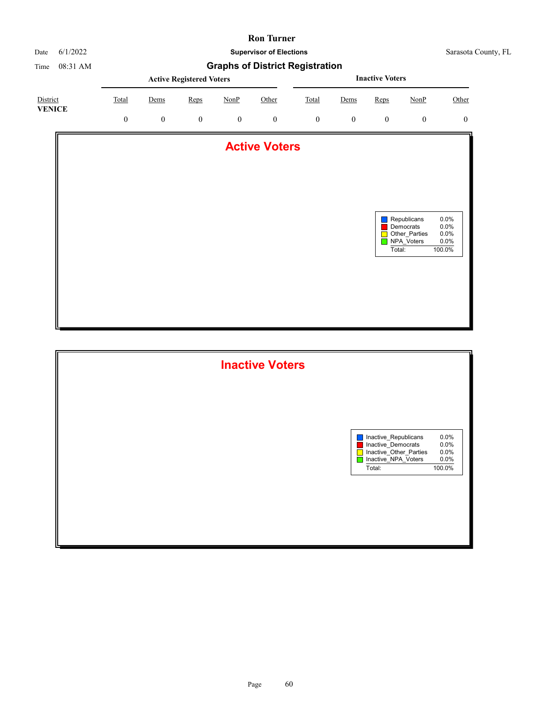

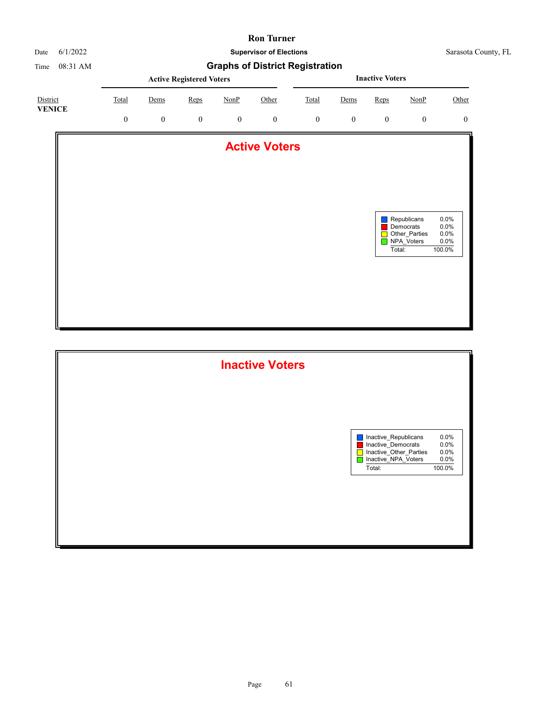

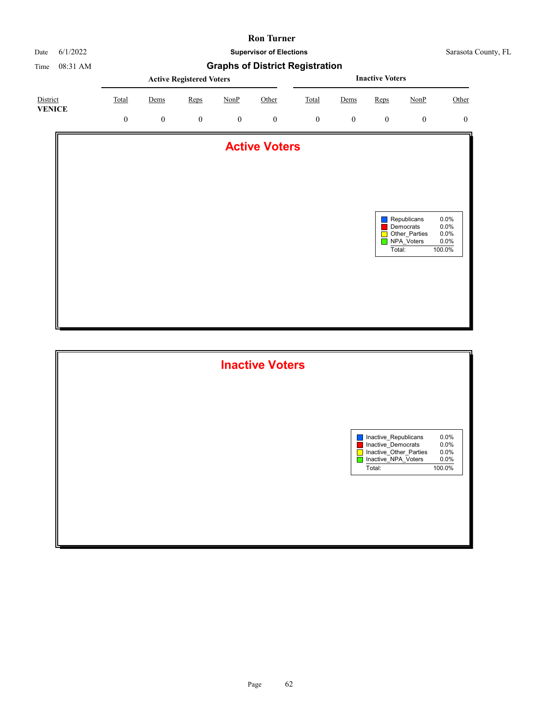

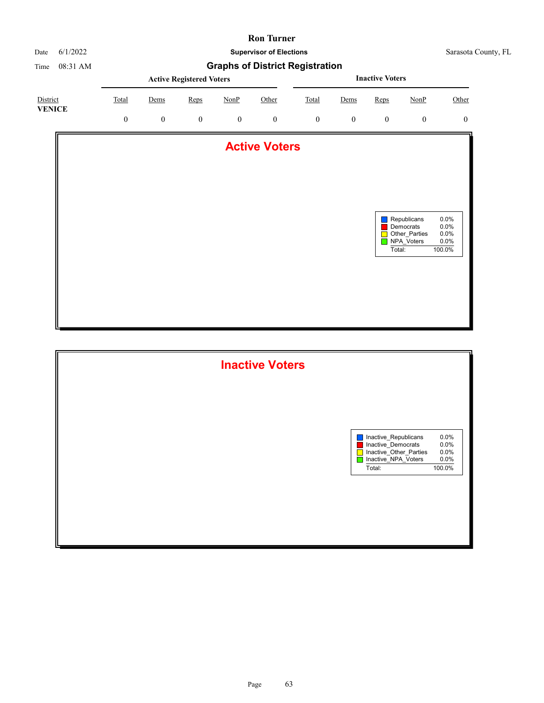

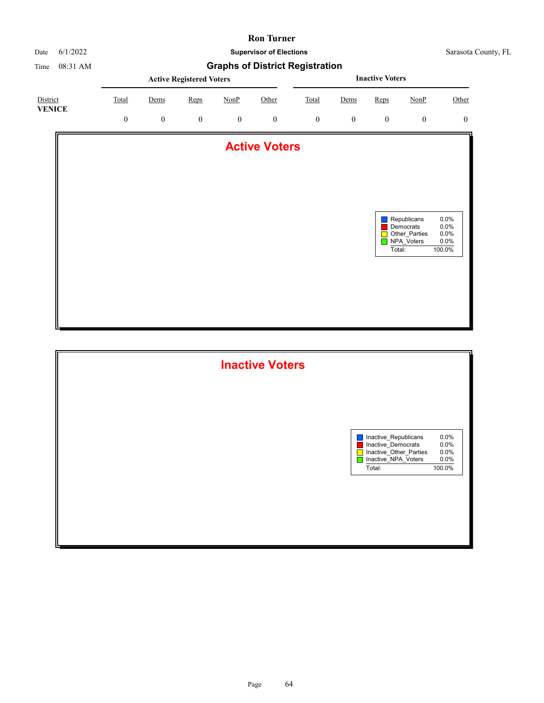

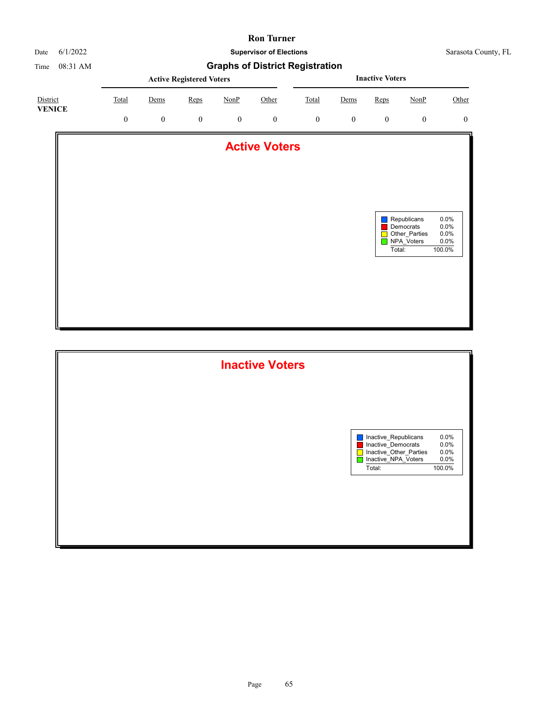

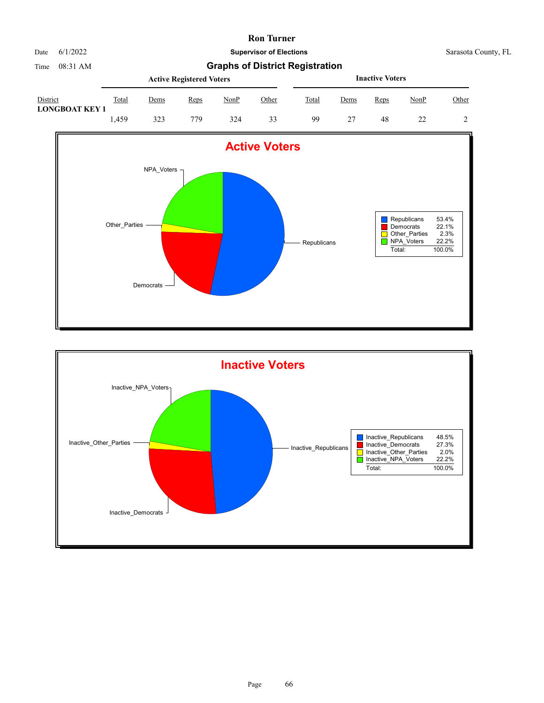

Time 08:31 AM **Graphs of District Registration**

|                                   |       |             | <b>Active Registered Voters</b> |      | <b>Inactive Voters</b> |       |      |      |      |       |
|-----------------------------------|-------|-------------|---------------------------------|------|------------------------|-------|------|------|------|-------|
| District<br><b>LONGBOAT KEY 1</b> | Total | <u>Dems</u> | <b>Reps</b>                     | NonP | Other                  | Total | Dems | Reps | NonP | Other |
|                                   | .459  | 323         | 779                             | 324  | 33                     | 99    |      | 48   |      | 2     |



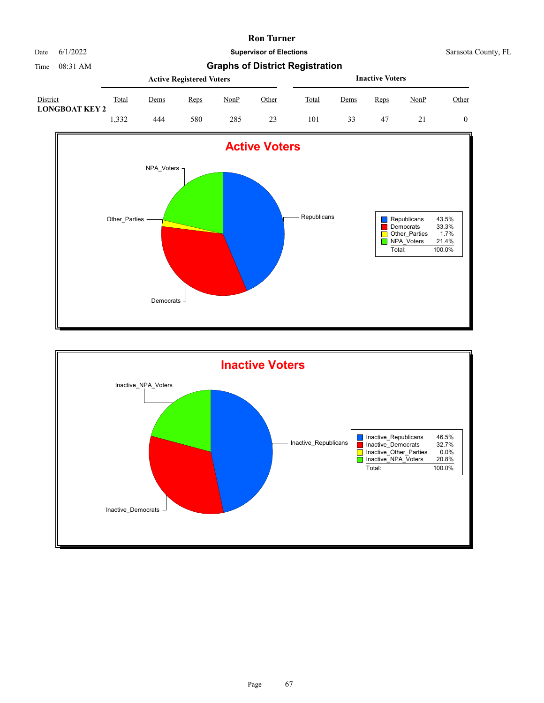

Time 08:31 AM **Graphs of District Registration**

|                                   |       |      | <b>Active Registered Voters</b> |             | <b>Inactive Voters</b> |       |      |      |      |       |
|-----------------------------------|-------|------|---------------------------------|-------------|------------------------|-------|------|------|------|-------|
| District<br><b>LONGBOAT KEY 2</b> | Total | Dems | Reps                            | <b>NonP</b> | Other                  | Total | Dems | Reps | NonP | Other |
|                                   | 1.332 | 444  | 580                             | 285         | 23                     | 101   | 33   | -47  |      | 0     |



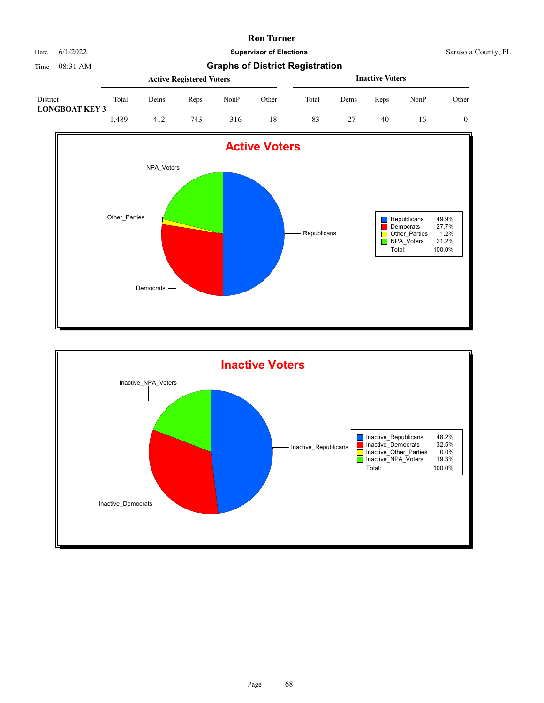

|                                   |       |      | <b>Active Registered Voters</b> |      | <b>Inactive Voters</b> |       |      |      |             |       |
|-----------------------------------|-------|------|---------------------------------|------|------------------------|-------|------|------|-------------|-------|
| District<br><b>LONGBOAT KEY 3</b> | Total | Dems | Reps                            | NonP | Other                  | Total | Dems | Reps | <u>NonP</u> | Other |
|                                   | .489  | 412  | 743                             | 316  | 18                     | 83    |      | 40   | 16          |       |



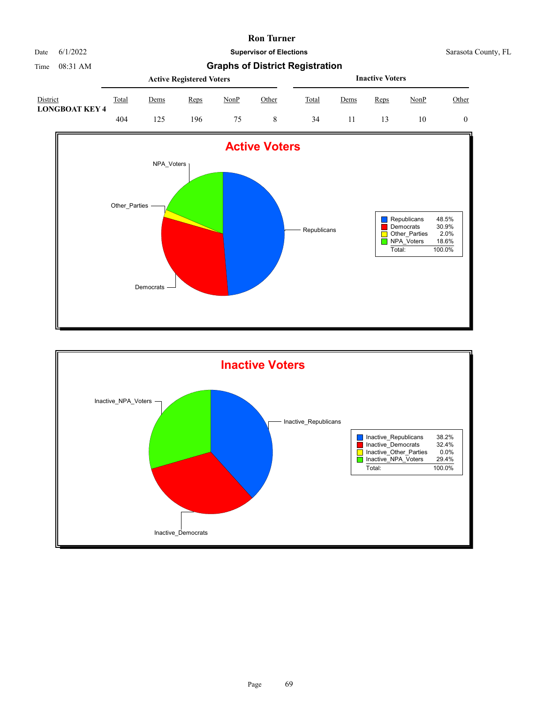Date 6/1/2022 **Supervisor of Elections** Supervisor **Supervisor of Elections** Sarasota County, FL

|                                   |       |             | <b>Active Registered Voters</b> |             | <b>Inactive Voters</b> |       |      |      |      |       |
|-----------------------------------|-------|-------------|---------------------------------|-------------|------------------------|-------|------|------|------|-------|
| District<br><b>LONGBOAT KEY 4</b> | Total | <u>Dems</u> | Reps                            | <b>NonP</b> | Other                  | Total | Dems | Reps | NonP | Other |
|                                   | 404   | 25،         | 196                             |             |                        | 34    |      |      | 10   |       |



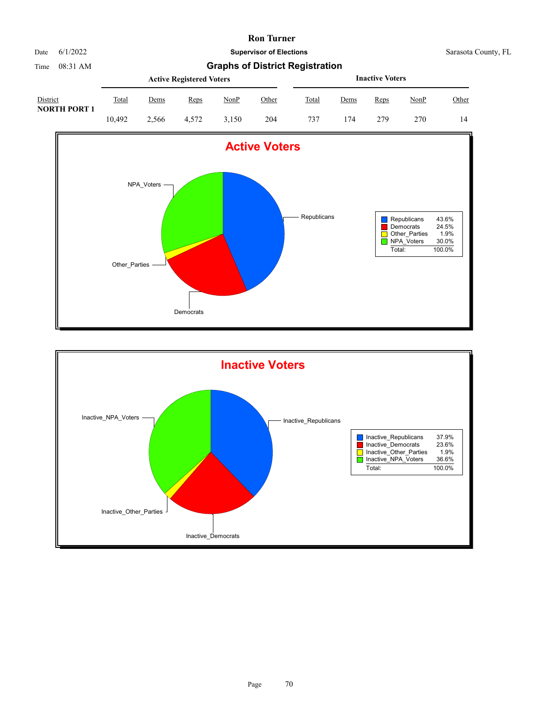

|                                 |        |       | <b>Active Registered Voters</b> |             | <b>Inactive Voters</b> |       |      |      |      |       |
|---------------------------------|--------|-------|---------------------------------|-------------|------------------------|-------|------|------|------|-------|
| District<br><b>NORTH PORT 1</b> | Total  | Dems  | Reps                            | <u>NonP</u> | Other                  | Total | Dems | Reps | NonP | Other |
|                                 | 10.492 | 2.566 | 4.572                           | 3.150       | 204                    | 737   | 174  | 279  | 270  | 14    |



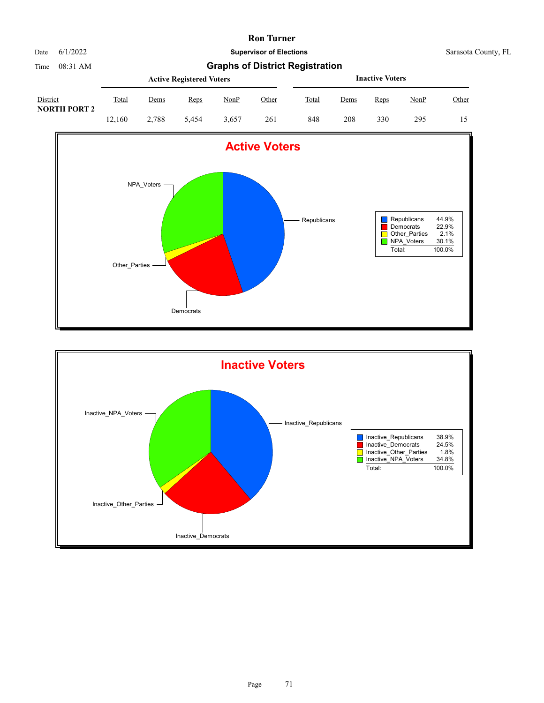

|                                 |              |       | <b>Active Registered Voters</b> |       | <b>Inactive Voters</b> |              |             |      |             |              |
|---------------------------------|--------------|-------|---------------------------------|-------|------------------------|--------------|-------------|------|-------------|--------------|
| District<br><b>NORTH PORT 2</b> | <b>Total</b> | Dems  | Reps                            | NonP  | <u>Other</u>           | <b>Total</b> | <u>Dems</u> | Reps | <u>NonP</u> | <b>Other</b> |
|                                 | 12.160       | 2.788 | 5.454                           | 3.657 | 261                    | 848          | 208         | 330  | 295         | 15           |



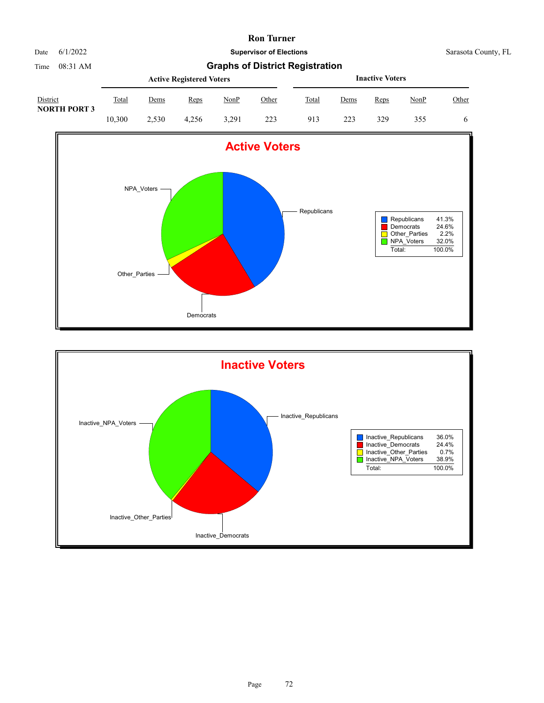

|                                 |        |             | <b>Active Registered Voters</b> |       | <b>Inactive Voters</b> |              |      |      |      |       |
|---------------------------------|--------|-------------|---------------------------------|-------|------------------------|--------------|------|------|------|-------|
| District<br><b>NORTH PORT 3</b> | Total  | <u>Dems</u> | Reps                            | NonP  | Other                  | <b>Total</b> | Dems | Reps | NonP | Other |
|                                 | 10.300 | 2.530       | 4.256                           | 3.291 | 223                    | 913          | 223  | 329  | 355  | 6     |



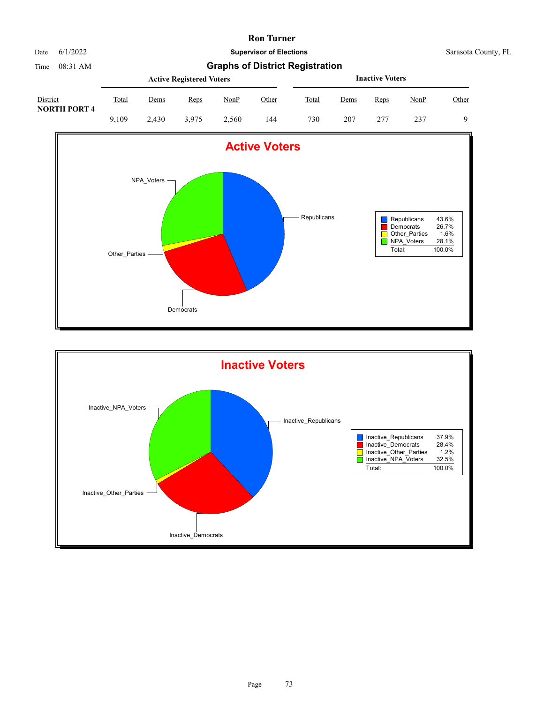

Time 08:31 AM **Graphs of District Registration**

|                                 |       |       | <b>Active Registered Voters</b> |       | <b>Inactive Voters</b> |       |      |      |      |          |
|---------------------------------|-------|-------|---------------------------------|-------|------------------------|-------|------|------|------|----------|
| District<br><b>NORTH PORT 4</b> | Total | Dems  | Reps                            | NonP  | Other                  | Total | Dems | Reps | NonP | Other    |
|                                 | 9.109 | 2.430 | 3.975                           | 2.560 | 144                    | 730   | 207  | 277  | 237  | $\Omega$ |



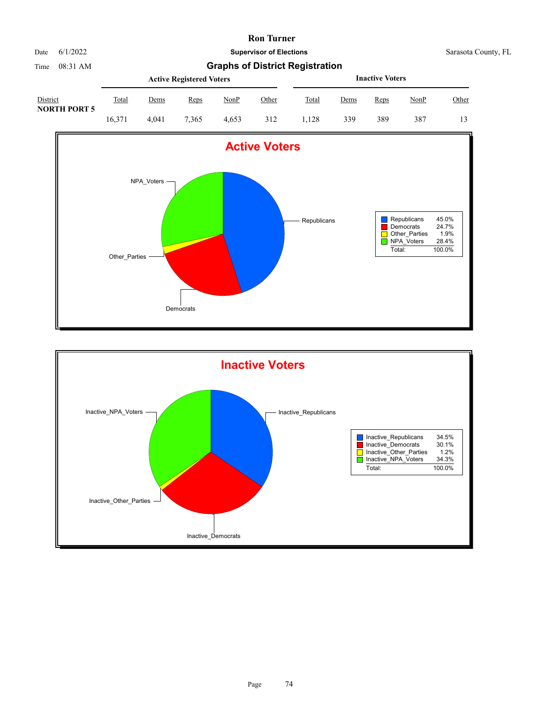

Time 08:31 AM **Graphs of District Registration**

|                                 |              |       | <b>Active Registered Voters</b> |       | <b>Inactive Voters</b> |       |      |      |      |       |
|---------------------------------|--------------|-------|---------------------------------|-------|------------------------|-------|------|------|------|-------|
| District<br><b>NORTH PORT 5</b> | <b>Total</b> | Dems  | Reps                            | NonP  | Other                  | Total | Dems | Reps | NonP | Other |
|                                 | 16.371       | 4.041 | 7.365                           | 4.653 | 312                    | .128  | 339  | 389  | 387  | 13    |



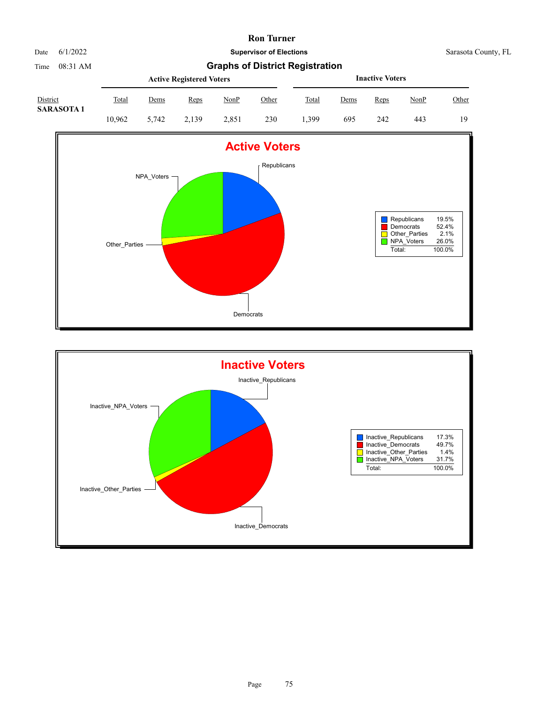

# Time 08:31 AM **Graphs of District Registration**

| District<br><b>SARASOTA1</b> |        |       | <b>Active Registered Voters</b> |       | <b>Inactive Voters</b> |       |             |      |      |       |
|------------------------------|--------|-------|---------------------------------|-------|------------------------|-------|-------------|------|------|-------|
|                              | Total  | Dems  | Reps                            | NonP  | Other                  | Total | <u>Dems</u> | Reps | NonP | Other |
|                              | 10.962 | 5.742 | 2.139                           | 2.851 | 230                    | .399  | 695         | 242  | 443  | 19    |



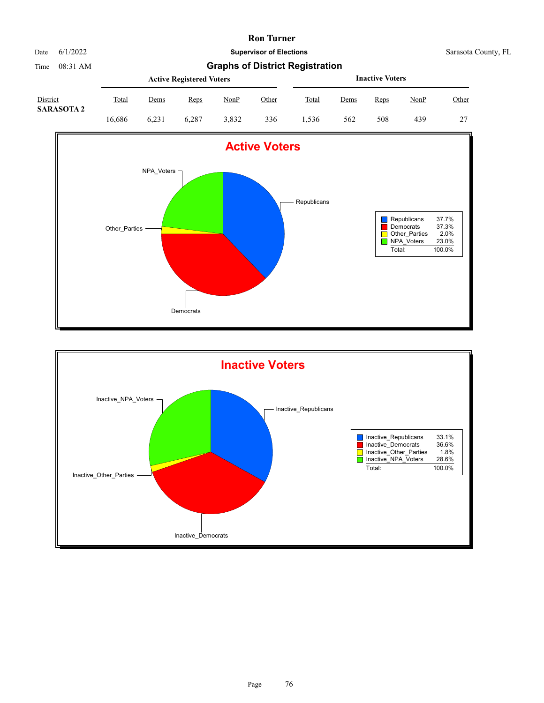Date 6/1/2022 **Supervisor of Elections** Supervisor **Supervisor of Elections** Sarasota County, FL

## Time 08:31 AM **Graphs of District Registration**

| District<br><b>SARASOTA 2</b> |        |       | <b>Active Registered Voters</b> |       | <b>Inactive Voters</b> |       |      |      |      |       |
|-------------------------------|--------|-------|---------------------------------|-------|------------------------|-------|------|------|------|-------|
|                               | Total  | Dems  | Reps                            | NonP  | Other                  | Total | Dems | Reps | NonP | Other |
|                               | 16.686 | 6.231 | 6.287                           | 3.832 | 336                    | .536  | 562  | 508  | 439  | 27    |



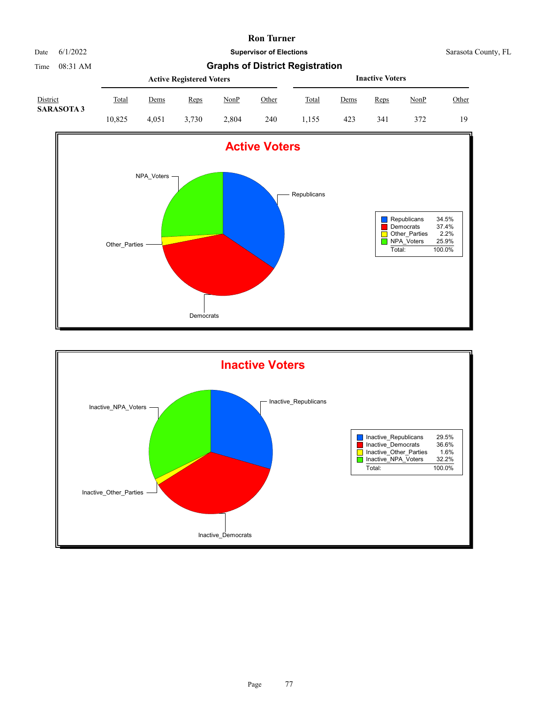

Time 08:31 AM **Graphs of District Registration**

| District<br><b>SARASOTA 3</b> |              |             | <b>Active Registered Voters</b> |       | <b>Inactive Voters</b> |              |      |      |      |       |
|-------------------------------|--------------|-------------|---------------------------------|-------|------------------------|--------------|------|------|------|-------|
|                               | <u>Total</u> | <u>Dems</u> | Reps                            | NonP  | Other                  | <b>Total</b> | Dems | Reps | NonP | Other |
|                               | 10.825       | 4.051       | 3.730                           | 2.804 | 240                    | 1.155        | 423  | 341  | 372  | 19    |



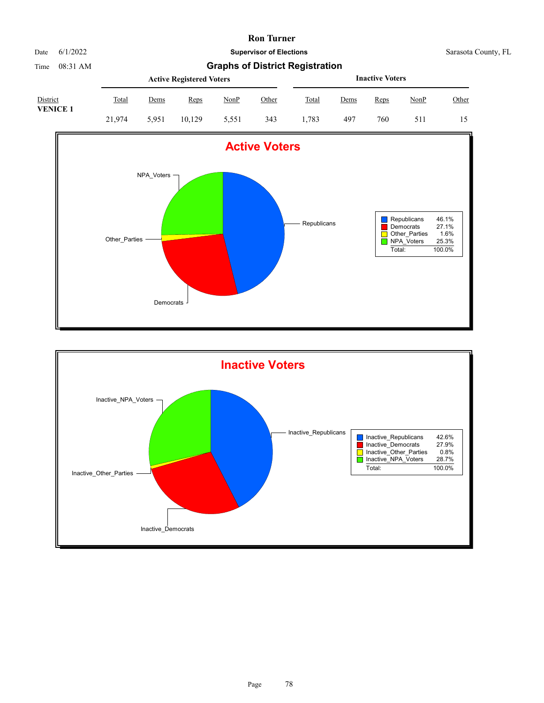